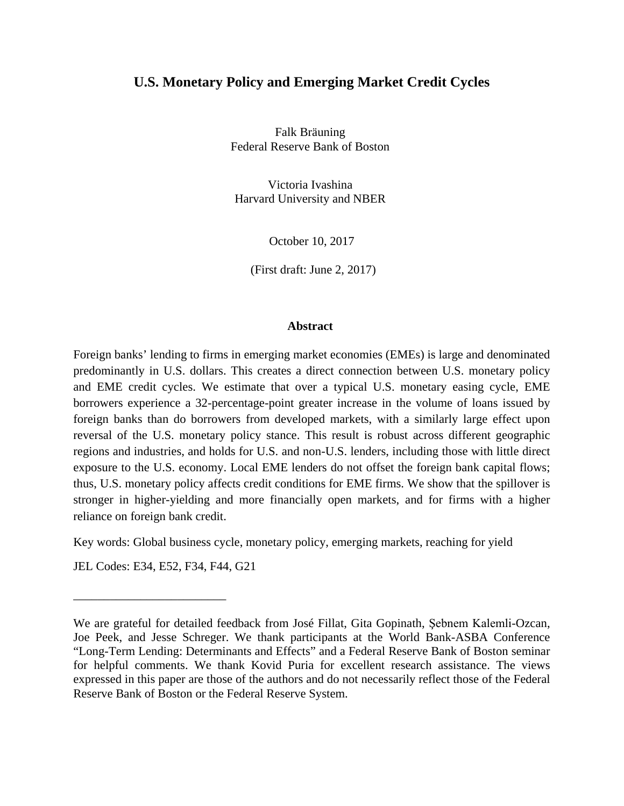## **U.S. Monetary Policy and Emerging Market Credit Cycles**

Falk Bräuning Federal Reserve Bank of Boston

Victoria Ivashina Harvard University and NBER

October 10, 2017

(First draft: June 2, 2017)

### **Abstract**

Foreign banks' lending to firms in emerging market economies (EMEs) is large and denominated predominantly in U.S. dollars. This creates a direct connection between U.S. monetary policy and EME credit cycles. We estimate that over a typical U.S. monetary easing cycle, EME borrowers experience a 32-percentage-point greater increase in the volume of loans issued by foreign banks than do borrowers from developed markets, with a similarly large effect upon reversal of the U.S. monetary policy stance. This result is robust across different geographic regions and industries, and holds for U.S. and non-U.S. lenders, including those with little direct exposure to the U.S. economy. Local EME lenders do not offset the foreign bank capital flows; thus, U.S. monetary policy affects credit conditions for EME firms. We show that the spillover is stronger in higher-yielding and more financially open markets, and for firms with a higher reliance on foreign bank credit.

Key words: Global business cycle, monetary policy, emerging markets, reaching for yield

JEL Codes: E34, E52, F34, F44, G21

\_\_\_\_\_\_\_\_\_\_\_\_\_\_\_\_\_\_\_\_\_\_\_\_\_

We are grateful for detailed feedback from José Fillat, Gita Gopinath, Şebnem Kalemli-Ozcan, Joe Peek, and Jesse Schreger. We thank participants at the World Bank-ASBA Conference "Long-Term Lending: Determinants and Effects" and a Federal Reserve Bank of Boston seminar for helpful comments. We thank Kovid Puria for excellent research assistance. The views expressed in this paper are those of the authors and do not necessarily reflect those of the Federal Reserve Bank of Boston or the Federal Reserve System.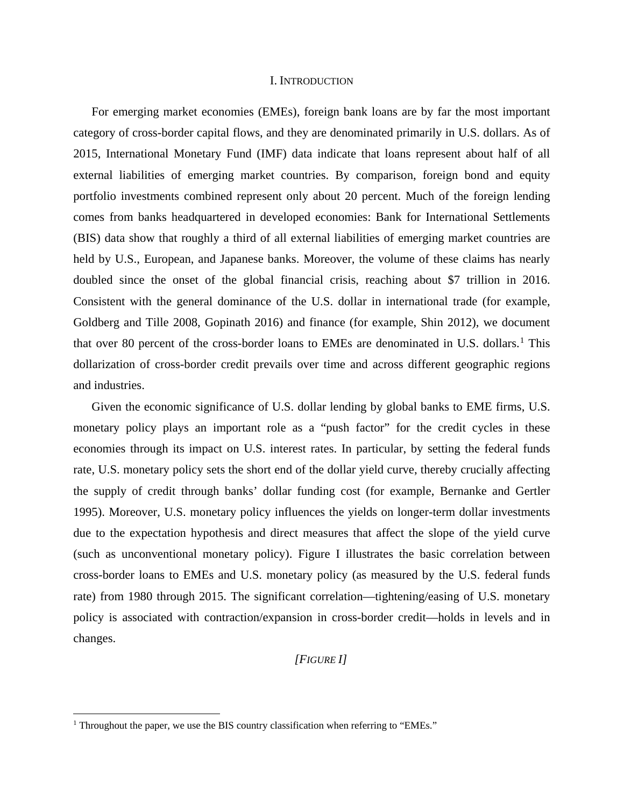#### I. INTRODUCTION

For emerging market economies (EMEs), foreign bank loans are by far the most important category of cross-border capital flows, and they are denominated primarily in U.S. dollars. As of 2015, International Monetary Fund (IMF) data indicate that loans represent about half of all external liabilities of emerging market countries. By comparison, foreign bond and equity portfolio investments combined represent only about 20 percent. Much of the foreign lending comes from banks headquartered in developed economies: Bank for International Settlements (BIS) data show that roughly a third of all external liabilities of emerging market countries are held by U.S., European, and Japanese banks. Moreover, the volume of these claims has nearly doubled since the onset of the global financial crisis, reaching about \$7 trillion in 2016. Consistent with the general dominance of the U.S. dollar in international trade (for example, Goldberg and Tille 2008, Gopinath 2016) and finance (for example, Shin 2012), we document that over 80 percent of the cross-border loans to EMEs are denominated in U.S. dollars.<sup>[1](#page-1-0)</sup> This dollarization of cross-border credit prevails over time and across different geographic regions and industries.

Given the economic significance of U.S. dollar lending by global banks to EME firms, U.S. monetary policy plays an important role as a "push factor" for the credit cycles in these economies through its impact on U.S. interest rates. In particular, by setting the federal funds rate, U.S. monetary policy sets the short end of the dollar yield curve, thereby crucially affecting the supply of credit through banks' dollar funding cost (for example, Bernanke and Gertler 1995). Moreover, U.S. monetary policy influences the yields on longer-term dollar investments due to the expectation hypothesis and direct measures that affect the slope of the yield curve (such as unconventional monetary policy). Figure I illustrates the basic correlation between cross-border loans to EMEs and U.S. monetary policy (as measured by the U.S. federal funds rate) from 1980 through 2015. The significant correlation—tightening/easing of U.S. monetary policy is associated with contraction/expansion in cross-border credit—holds in levels and in changes.

## *[FIGURE I]*

 $\overline{\phantom{a}}$ 

<span id="page-1-0"></span><sup>&</sup>lt;sup>1</sup> Throughout the paper, we use the BIS country classification when referring to "EMEs."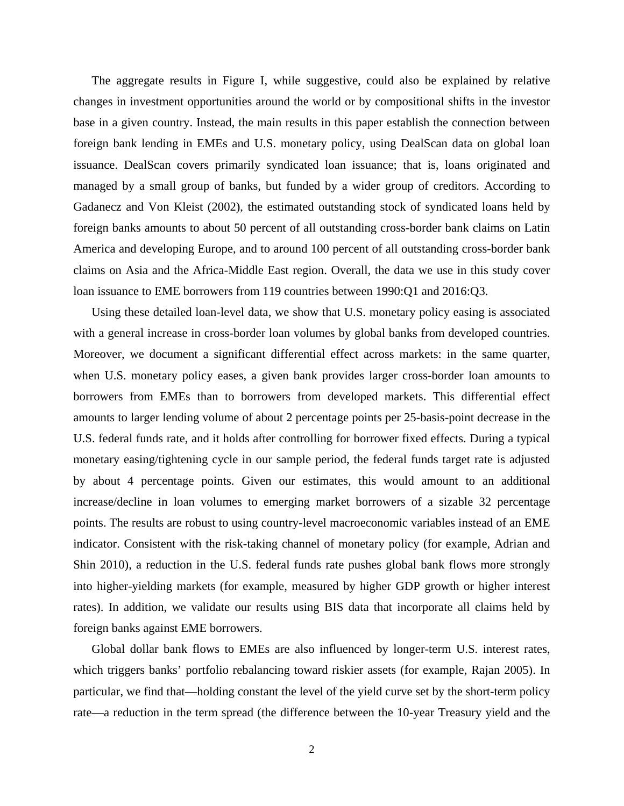The aggregate results in Figure I, while suggestive, could also be explained by relative changes in investment opportunities around the world or by compositional shifts in the investor base in a given country. Instead, the main results in this paper establish the connection between foreign bank lending in EMEs and U.S. monetary policy, using DealScan data on global loan issuance. DealScan covers primarily syndicated loan issuance; that is, loans originated and managed by a small group of banks, but funded by a wider group of creditors. According to Gadanecz and Von Kleist (2002), the estimated outstanding stock of syndicated loans held by foreign banks amounts to about 50 percent of all outstanding cross-border bank claims on Latin America and developing Europe, and to around 100 percent of all outstanding cross-border bank claims on Asia and the Africa-Middle East region. Overall, the data we use in this study cover loan issuance to EME borrowers from 119 countries between 1990:Q1 and 2016:Q3.

Using these detailed loan-level data, we show that U.S. monetary policy easing is associated with a general increase in cross-border loan volumes by global banks from developed countries. Moreover, we document a significant differential effect across markets: in the same quarter, when U.S. monetary policy eases, a given bank provides larger cross-border loan amounts to borrowers from EMEs than to borrowers from developed markets. This differential effect amounts to larger lending volume of about 2 percentage points per 25-basis-point decrease in the U.S. federal funds rate, and it holds after controlling for borrower fixed effects. During a typical monetary easing/tightening cycle in our sample period, the federal funds target rate is adjusted by about 4 percentage points. Given our estimates, this would amount to an additional increase/decline in loan volumes to emerging market borrowers of a sizable 32 percentage points. The results are robust to using country-level macroeconomic variables instead of an EME indicator. Consistent with the risk-taking channel of monetary policy (for example, Adrian and Shin 2010), a reduction in the U.S. federal funds rate pushes global bank flows more strongly into higher-yielding markets (for example, measured by higher GDP growth or higher interest rates). In addition, we validate our results using BIS data that incorporate all claims held by foreign banks against EME borrowers.

Global dollar bank flows to EMEs are also influenced by longer-term U.S. interest rates, which triggers banks' portfolio rebalancing toward riskier assets (for example, Rajan 2005). In particular, we find that—holding constant the level of the yield curve set by the short-term policy rate—a reduction in the term spread (the difference between the 10-year Treasury yield and the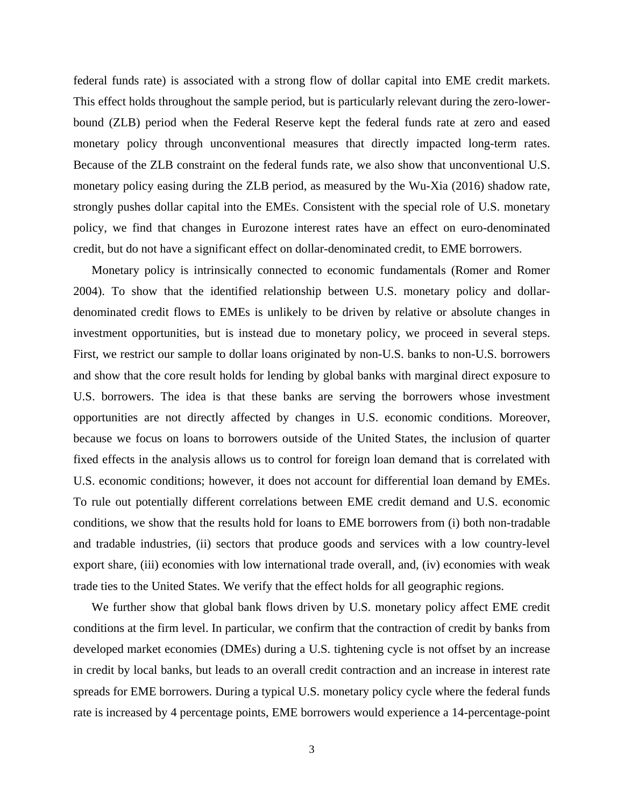federal funds rate) is associated with a strong flow of dollar capital into EME credit markets. This effect holds throughout the sample period, but is particularly relevant during the zero-lowerbound (ZLB) period when the Federal Reserve kept the federal funds rate at zero and eased monetary policy through unconventional measures that directly impacted long-term rates. Because of the ZLB constraint on the federal funds rate, we also show that unconventional U.S. monetary policy easing during the ZLB period, as measured by the Wu-Xia (2016) shadow rate, strongly pushes dollar capital into the EMEs. Consistent with the special role of U.S. monetary policy, we find that changes in Eurozone interest rates have an effect on euro-denominated credit, but do not have a significant effect on dollar-denominated credit, to EME borrowers.

Monetary policy is intrinsically connected to economic fundamentals (Romer and Romer 2004). To show that the identified relationship between U.S. monetary policy and dollardenominated credit flows to EMEs is unlikely to be driven by relative or absolute changes in investment opportunities, but is instead due to monetary policy, we proceed in several steps. First, we restrict our sample to dollar loans originated by non-U.S. banks to non-U.S. borrowers and show that the core result holds for lending by global banks with marginal direct exposure to U.S. borrowers. The idea is that these banks are serving the borrowers whose investment opportunities are not directly affected by changes in U.S. economic conditions. Moreover, because we focus on loans to borrowers outside of the United States, the inclusion of quarter fixed effects in the analysis allows us to control for foreign loan demand that is correlated with U.S. economic conditions; however, it does not account for differential loan demand by EMEs. To rule out potentially different correlations between EME credit demand and U.S. economic conditions, we show that the results hold for loans to EME borrowers from (i) both non-tradable and tradable industries, (ii) sectors that produce goods and services with a low country-level export share, (iii) economies with low international trade overall, and, (iv) economies with weak trade ties to the United States. We verify that the effect holds for all geographic regions.

We further show that global bank flows driven by U.S. monetary policy affect EME credit conditions at the firm level. In particular, we confirm that the contraction of credit by banks from developed market economies (DMEs) during a U.S. tightening cycle is not offset by an increase in credit by local banks, but leads to an overall credit contraction and an increase in interest rate spreads for EME borrowers. During a typical U.S. monetary policy cycle where the federal funds rate is increased by 4 percentage points, EME borrowers would experience a 14-percentage-point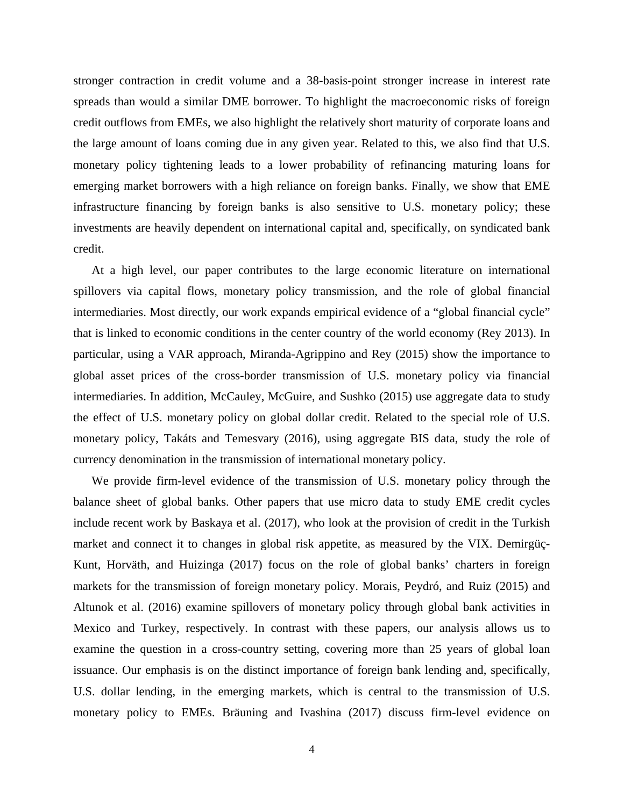stronger contraction in credit volume and a 38-basis-point stronger increase in interest rate spreads than would a similar DME borrower. To highlight the macroeconomic risks of foreign credit outflows from EMEs, we also highlight the relatively short maturity of corporate loans and the large amount of loans coming due in any given year. Related to this, we also find that U.S. monetary policy tightening leads to a lower probability of refinancing maturing loans for emerging market borrowers with a high reliance on foreign banks. Finally, we show that EME infrastructure financing by foreign banks is also sensitive to U.S. monetary policy; these investments are heavily dependent on international capital and, specifically, on syndicated bank credit.

At a high level, our paper contributes to the large economic literature on international spillovers via capital flows, monetary policy transmission, and the role of global financial intermediaries. Most directly, our work expands empirical evidence of a "global financial cycle" that is linked to economic conditions in the center country of the world economy (Rey 2013). In particular, using a VAR approach, Miranda-Agrippino and Rey (2015) show the importance to global asset prices of the cross-border transmission of U.S. monetary policy via financial intermediaries. In addition, McCauley, McGuire, and Sushko (2015) use aggregate data to study the effect of U.S. monetary policy on global dollar credit. Related to the special role of U.S. monetary policy, Takáts and Temesvary (2016), using aggregate BIS data, study the role of currency denomination in the transmission of international monetary policy.

We provide firm-level evidence of the transmission of U.S. monetary policy through the balance sheet of global banks. Other papers that use micro data to study EME credit cycles include recent work by Baskaya et al. (2017), who look at the provision of credit in the Turkish market and connect it to changes in global risk appetite, as measured by the VIX. Demirgüç-Kunt, Horväth, and Huizinga (2017) focus on the role of global banks' charters in foreign markets for the transmission of foreign monetary policy. Morais, Peydró, and Ruiz (2015) and Altunok et al. (2016) examine spillovers of monetary policy through global bank activities in Mexico and Turkey, respectively. In contrast with these papers, our analysis allows us to examine the question in a cross-country setting, covering more than 25 years of global loan issuance. Our emphasis is on the distinct importance of foreign bank lending and, specifically, U.S. dollar lending, in the emerging markets, which is central to the transmission of U.S. monetary policy to EMEs. Bräuning and Ivashina (2017) discuss firm-level evidence on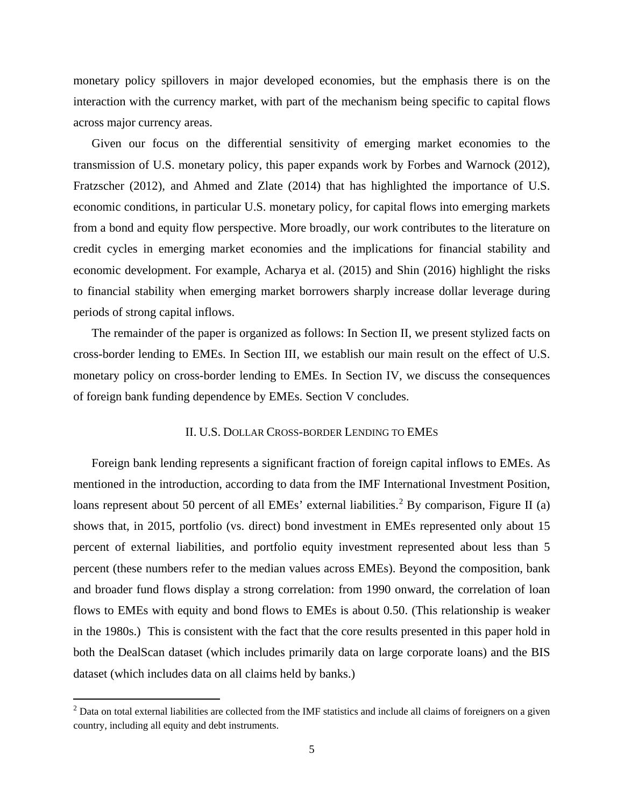monetary policy spillovers in major developed economies, but the emphasis there is on the interaction with the currency market, with part of the mechanism being specific to capital flows across major currency areas.

Given our focus on the differential sensitivity of emerging market economies to the transmission of U.S. monetary policy, this paper expands work by Forbes and Warnock (2012), Fratzscher (2012), and Ahmed and Zlate (2014) that has highlighted the importance of U.S. economic conditions, in particular U.S. monetary policy, for capital flows into emerging markets from a bond and equity flow perspective. More broadly, our work contributes to the literature on credit cycles in emerging market economies and the implications for financial stability and economic development. For example, Acharya et al. (2015) and Shin (2016) highlight the risks to financial stability when emerging market borrowers sharply increase dollar leverage during periods of strong capital inflows.

The remainder of the paper is organized as follows: In Section II, we present stylized facts on cross-border lending to EMEs. In Section III, we establish our main result on the effect of U.S. monetary policy on cross-border lending to EMEs. In Section IV, we discuss the consequences of foreign bank funding dependence by EMEs. Section V concludes.

### II. U.S. DOLLAR CROSS-BORDER LENDING TO EMES

Foreign bank lending represents a significant fraction of foreign capital inflows to EMEs. As mentioned in the introduction, according to data from the IMF International Investment Position, loans represent about 50 percent of all EMEs' external liabilities.<sup>[2](#page-5-0)</sup> By comparison, Figure II (a) shows that, in 2015, portfolio (vs. direct) bond investment in EMEs represented only about 15 percent of external liabilities, and portfolio equity investment represented about less than 5 percent (these numbers refer to the median values across EMEs). Beyond the composition, bank and broader fund flows display a strong correlation: from 1990 onward, the correlation of loan flows to EMEs with equity and bond flows to EMEs is about 0.50. (This relationship is weaker in the 1980s.) This is consistent with the fact that the core results presented in this paper hold in both the DealScan dataset (which includes primarily data on large corporate loans) and the BIS dataset (which includes data on all claims held by banks.)

l

<span id="page-5-0"></span> $2$  Data on total external liabilities are collected from the IMF statistics and include all claims of foreigners on a given country, including all equity and debt instruments.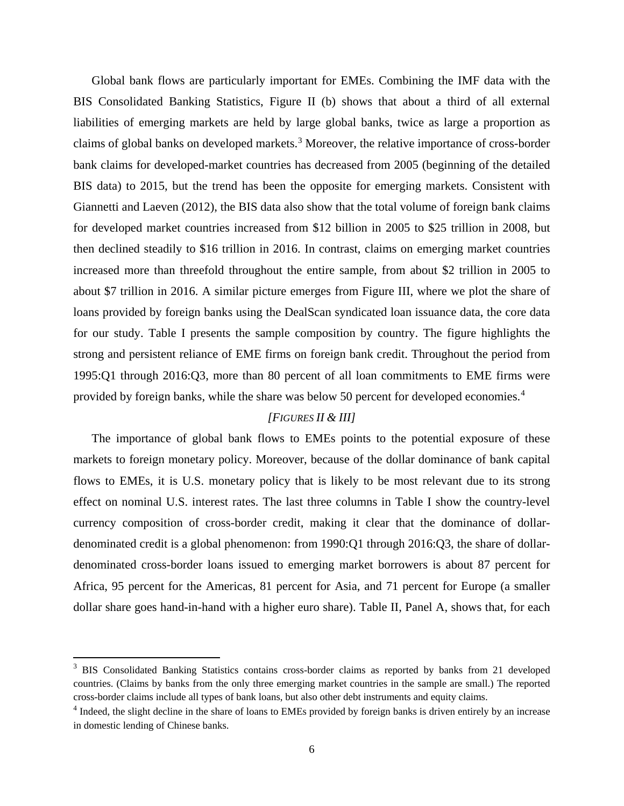Global bank flows are particularly important for EMEs. Combining the IMF data with the BIS Consolidated Banking Statistics, Figure II (b) shows that about a third of all external liabilities of emerging markets are held by large global banks, twice as large a proportion as claims of global banks on developed markets.<sup>[3](#page-6-0)</sup> Moreover, the relative importance of cross-border bank claims for developed-market countries has decreased from 2005 (beginning of the detailed BIS data) to 2015, but the trend has been the opposite for emerging markets. Consistent with Giannetti and Laeven (2012), the BIS data also show that the total volume of foreign bank claims for developed market countries increased from \$12 billion in 2005 to \$25 trillion in 2008, but then declined steadily to \$16 trillion in 2016. In contrast, claims on emerging market countries increased more than threefold throughout the entire sample, from about \$2 trillion in 2005 to about \$7 trillion in 2016. A similar picture emerges from Figure III, where we plot the share of loans provided by foreign banks using the DealScan syndicated loan issuance data, the core data for our study. Table I presents the sample composition by country. The figure highlights the strong and persistent reliance of EME firms on foreign bank credit. Throughout the period from 1995:Q1 through 2016:Q3, more than 80 percent of all loan commitments to EME firms were provided by foreign banks, while the share was below 50 percent for developed economies. [4](#page-6-1)

## *[FIGURES II & III]*

The importance of global bank flows to EMEs points to the potential exposure of these markets to foreign monetary policy. Moreover, because of the dollar dominance of bank capital flows to EMEs, it is U.S. monetary policy that is likely to be most relevant due to its strong effect on nominal U.S. interest rates. The last three columns in Table I show the country-level currency composition of cross-border credit, making it clear that the dominance of dollardenominated credit is a global phenomenon: from 1990:Q1 through 2016:Q3, the share of dollardenominated cross-border loans issued to emerging market borrowers is about 87 percent for Africa, 95 percent for the Americas, 81 percent for Asia, and 71 percent for Europe (a smaller dollar share goes hand-in-hand with a higher euro share). Table II, Panel A, shows that, for each

 $\overline{\phantom{a}}$ 

<span id="page-6-0"></span><sup>&</sup>lt;sup>3</sup> BIS Consolidated Banking Statistics contains cross-border claims as reported by banks from 21 developed countries. (Claims by banks from the only three emerging market countries in the sample are small.) The reported cross-border claims include all types of bank loans, but also other debt instruments and equity claims.

<span id="page-6-1"></span><sup>&</sup>lt;sup>4</sup> Indeed, the slight decline in the share of loans to EMEs provided by foreign banks is driven entirely by an increase in domestic lending of Chinese banks.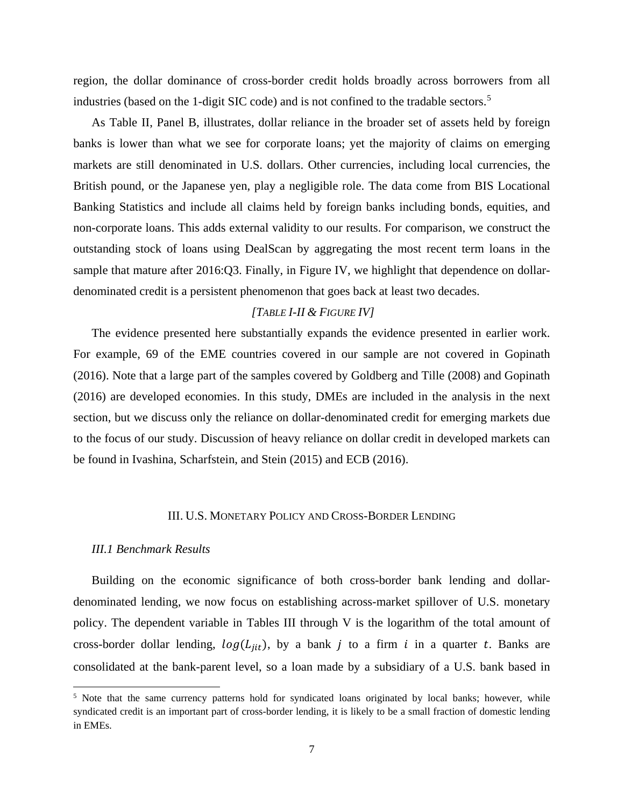region, the dollar dominance of cross-border credit holds broadly across borrowers from all industries (based on the 1-digit SIC code) and is not confined to the tradable sectors.<sup>[5](#page-7-0)</sup>

As Table II, Panel B, illustrates, dollar reliance in the broader set of assets held by foreign banks is lower than what we see for corporate loans; yet the majority of claims on emerging markets are still denominated in U.S. dollars. Other currencies, including local currencies, the British pound, or the Japanese yen, play a negligible role. The data come from BIS Locational Banking Statistics and include all claims held by foreign banks including bonds, equities, and non-corporate loans. This adds external validity to our results. For comparison, we construct the outstanding stock of loans using DealScan by aggregating the most recent term loans in the sample that mature after 2016:Q3. Finally, in Figure IV, we highlight that dependence on dollardenominated credit is a persistent phenomenon that goes back at least two decades.

### *[TABLE I-II & FIGURE IV]*

The evidence presented here substantially expands the evidence presented in earlier work. For example, 69 of the EME countries covered in our sample are not covered in Gopinath (2016). Note that a large part of the samples covered by Goldberg and Tille (2008) and Gopinath (2016) are developed economies. In this study, DMEs are included in the analysis in the next section, but we discuss only the reliance on dollar-denominated credit for emerging markets due to the focus of our study. Discussion of heavy reliance on dollar credit in developed markets can be found in Ivashina, Scharfstein, and Stein (2015) and ECB (2016).

### III. U.S. MONETARY POLICY AND CROSS-BORDER LENDING

#### *III.1 Benchmark Results*

 $\overline{a}$ 

Building on the economic significance of both cross-border bank lending and dollardenominated lending, we now focus on establishing across-market spillover of U.S. monetary policy. The dependent variable in Tables III through V is the logarithm of the total amount of cross-border dollar lending,  $log(L_{iit})$ , by a bank *j* to a firm *i* in a quarter *t*. Banks are consolidated at the bank-parent level, so a loan made by a subsidiary of a U.S. bank based in

<span id="page-7-0"></span><sup>&</sup>lt;sup>5</sup> Note that the same currency patterns hold for syndicated loans originated by local banks; however, while syndicated credit is an important part of cross-border lending, it is likely to be a small fraction of domestic lending in EMEs.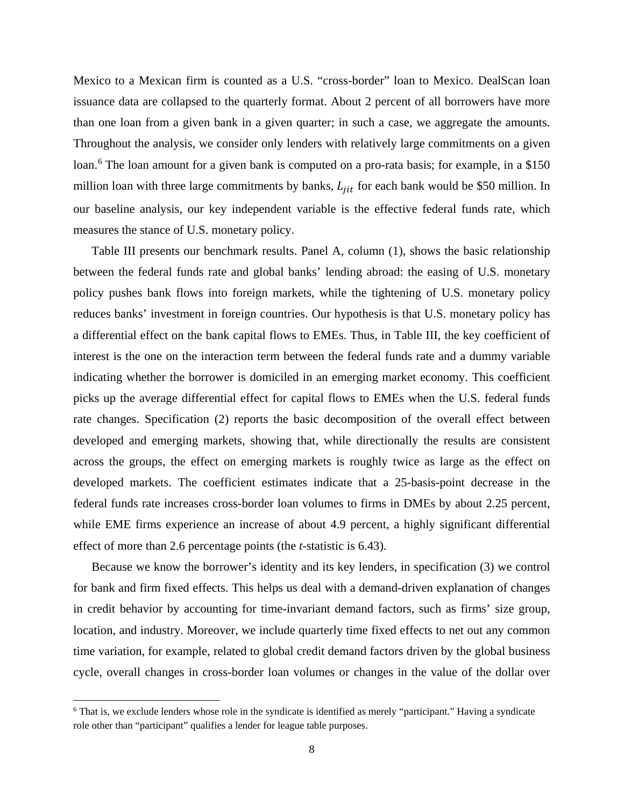Mexico to a Mexican firm is counted as a U.S. "cross-border" loan to Mexico. DealScan loan issuance data are collapsed to the quarterly format. About 2 percent of all borrowers have more than one loan from a given bank in a given quarter; in such a case, we aggregate the amounts. Throughout the analysis, we consider only lenders with relatively large commitments on a given loan.<sup>[6](#page-8-0)</sup> The loan amount for a given bank is computed on a pro-rata basis; for example, in a \$150 million loan with three large commitments by banks,  $L_{iit}$  for each bank would be \$50 million. In our baseline analysis, our key independent variable is the effective federal funds rate, which measures the stance of U.S. monetary policy.

Table III presents our benchmark results. Panel A, column (1), shows the basic relationship between the federal funds rate and global banks' lending abroad: the easing of U.S. monetary policy pushes bank flows into foreign markets, while the tightening of U.S. monetary policy reduces banks' investment in foreign countries. Our hypothesis is that U.S. monetary policy has a differential effect on the bank capital flows to EMEs. Thus, in Table III, the key coefficient of interest is the one on the interaction term between the federal funds rate and a dummy variable indicating whether the borrower is domiciled in an emerging market economy. This coefficient picks up the average differential effect for capital flows to EMEs when the U.S. federal funds rate changes. Specification (2) reports the basic decomposition of the overall effect between developed and emerging markets, showing that, while directionally the results are consistent across the groups, the effect on emerging markets is roughly twice as large as the effect on developed markets. The coefficient estimates indicate that a 25-basis-point decrease in the federal funds rate increases cross-border loan volumes to firms in DMEs by about 2.25 percent, while EME firms experience an increase of about 4.9 percent, a highly significant differential effect of more than 2.6 percentage points (the *t*-statistic is 6.43).

Because we know the borrower's identity and its key lenders, in specification (3) we control for bank and firm fixed effects. This helps us deal with a demand-driven explanation of changes in credit behavior by accounting for time-invariant demand factors, such as firms' size group, location, and industry. Moreover, we include quarterly time fixed effects to net out any common time variation, for example, related to global credit demand factors driven by the global business cycle, overall changes in cross-border loan volumes or changes in the value of the dollar over

l

<span id="page-8-0"></span><sup>6</sup> That is, we exclude lenders whose role in the syndicate is identified as merely "participant." Having a syndicate role other than "participant" qualifies a lender for league table purposes.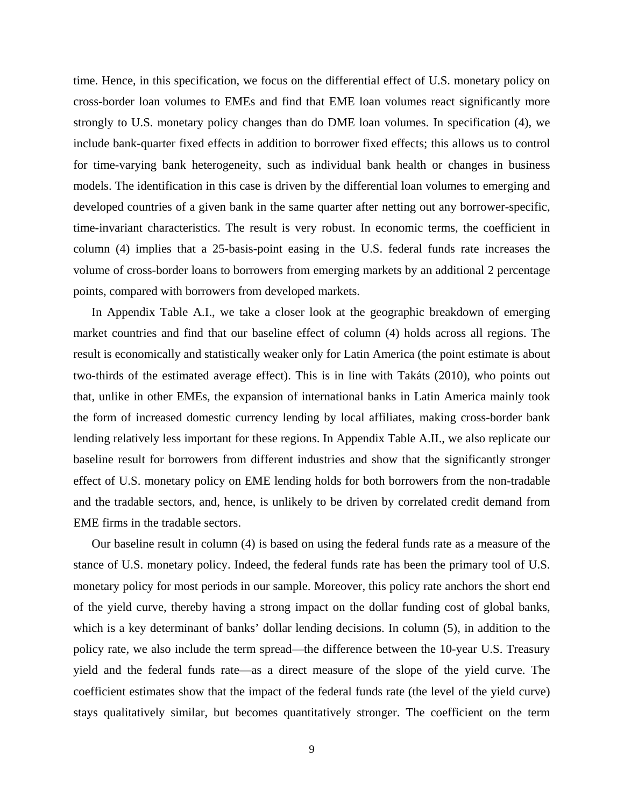time. Hence, in this specification, we focus on the differential effect of U.S. monetary policy on cross-border loan volumes to EMEs and find that EME loan volumes react significantly more strongly to U.S. monetary policy changes than do DME loan volumes. In specification (4), we include bank-quarter fixed effects in addition to borrower fixed effects; this allows us to control for time-varying bank heterogeneity, such as individual bank health or changes in business models. The identification in this case is driven by the differential loan volumes to emerging and developed countries of a given bank in the same quarter after netting out any borrower-specific, time-invariant characteristics. The result is very robust. In economic terms, the coefficient in column (4) implies that a 25-basis-point easing in the U.S. federal funds rate increases the volume of cross-border loans to borrowers from emerging markets by an additional 2 percentage points, compared with borrowers from developed markets.

In Appendix Table A.I., we take a closer look at the geographic breakdown of emerging market countries and find that our baseline effect of column (4) holds across all regions. The result is economically and statistically weaker only for Latin America (the point estimate is about two-thirds of the estimated average effect). This is in line with Takáts (2010), who points out that, unlike in other EMEs, the expansion of international banks in Latin America mainly took the form of increased domestic currency lending by local affiliates, making cross-border bank lending relatively less important for these regions. In Appendix Table A.II., we also replicate our baseline result for borrowers from different industries and show that the significantly stronger effect of U.S. monetary policy on EME lending holds for both borrowers from the non-tradable and the tradable sectors, and, hence, is unlikely to be driven by correlated credit demand from EME firms in the tradable sectors.

Our baseline result in column (4) is based on using the federal funds rate as a measure of the stance of U.S. monetary policy. Indeed, the federal funds rate has been the primary tool of U.S. monetary policy for most periods in our sample. Moreover, this policy rate anchors the short end of the yield curve, thereby having a strong impact on the dollar funding cost of global banks, which is a key determinant of banks' dollar lending decisions. In column (5), in addition to the policy rate, we also include the term spread—the difference between the 10-year U.S. Treasury yield and the federal funds rate—as a direct measure of the slope of the yield curve. The coefficient estimates show that the impact of the federal funds rate (the level of the yield curve) stays qualitatively similar, but becomes quantitatively stronger. The coefficient on the term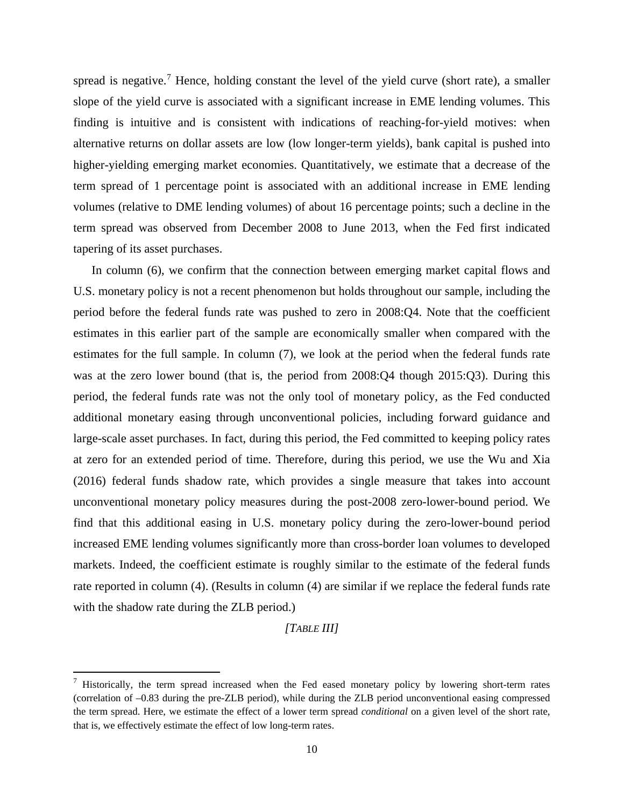spread is negative.<sup>[7](#page-10-0)</sup> Hence, holding constant the level of the yield curve (short rate), a smaller slope of the yield curve is associated with a significant increase in EME lending volumes. This finding is intuitive and is consistent with indications of reaching-for-yield motives: when alternative returns on dollar assets are low (low longer-term yields), bank capital is pushed into higher-yielding emerging market economies. Quantitatively, we estimate that a decrease of the term spread of 1 percentage point is associated with an additional increase in EME lending volumes (relative to DME lending volumes) of about 16 percentage points; such a decline in the term spread was observed from December 2008 to June 2013, when the Fed first indicated tapering of its asset purchases.

In column (6), we confirm that the connection between emerging market capital flows and U.S. monetary policy is not a recent phenomenon but holds throughout our sample, including the period before the federal funds rate was pushed to zero in 2008:Q4. Note that the coefficient estimates in this earlier part of the sample are economically smaller when compared with the estimates for the full sample. In column (7), we look at the period when the federal funds rate was at the zero lower bound (that is, the period from 2008:Q4 though 2015:Q3). During this period, the federal funds rate was not the only tool of monetary policy, as the Fed conducted additional monetary easing through unconventional policies, including forward guidance and large-scale asset purchases. In fact, during this period, the Fed committed to keeping policy rates at zero for an extended period of time. Therefore, during this period, we use the Wu and Xia (2016) federal funds shadow rate, which provides a single measure that takes into account unconventional monetary policy measures during the post-2008 zero-lower-bound period. We find that this additional easing in U.S. monetary policy during the zero-lower-bound period increased EME lending volumes significantly more than cross-border loan volumes to developed markets. Indeed, the coefficient estimate is roughly similar to the estimate of the federal funds rate reported in column (4). (Results in column (4) are similar if we replace the federal funds rate with the shadow rate during the ZLB period.)

## *[TABLE III]*

 $\overline{\phantom{a}}$ 

<span id="page-10-0"></span> $<sup>7</sup>$  Historically, the term spread increased when the Fed eased monetary policy by lowering short-term rates</sup> (correlation of –0.83 during the pre-ZLB period), while during the ZLB period unconventional easing compressed the term spread. Here, we estimate the effect of a lower term spread *conditional* on a given level of the short rate, that is, we effectively estimate the effect of low long-term rates.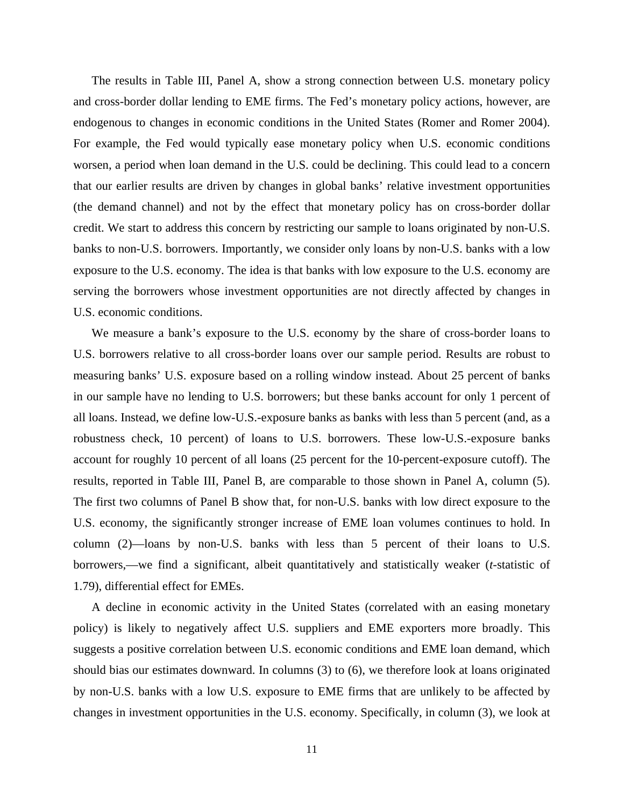The results in Table III, Panel A, show a strong connection between U.S. monetary policy and cross-border dollar lending to EME firms. The Fed's monetary policy actions, however, are endogenous to changes in economic conditions in the United States (Romer and Romer 2004). For example, the Fed would typically ease monetary policy when U.S. economic conditions worsen, a period when loan demand in the U.S. could be declining. This could lead to a concern that our earlier results are driven by changes in global banks' relative investment opportunities (the demand channel) and not by the effect that monetary policy has on cross-border dollar credit. We start to address this concern by restricting our sample to loans originated by non-U.S. banks to non-U.S. borrowers. Importantly, we consider only loans by non-U.S. banks with a low exposure to the U.S. economy. The idea is that banks with low exposure to the U.S. economy are serving the borrowers whose investment opportunities are not directly affected by changes in U.S. economic conditions.

We measure a bank's exposure to the U.S. economy by the share of cross-border loans to U.S. borrowers relative to all cross-border loans over our sample period. Results are robust to measuring banks' U.S. exposure based on a rolling window instead. About 25 percent of banks in our sample have no lending to U.S. borrowers; but these banks account for only 1 percent of all loans. Instead, we define low-U.S.-exposure banks as banks with less than 5 percent (and, as a robustness check, 10 percent) of loans to U.S. borrowers. These low-U.S.-exposure banks account for roughly 10 percent of all loans (25 percent for the 10-percent-exposure cutoff). The results, reported in Table III, Panel B, are comparable to those shown in Panel A, column (5). The first two columns of Panel B show that, for non-U.S. banks with low direct exposure to the U.S. economy, the significantly stronger increase of EME loan volumes continues to hold. In column (2)—loans by non-U.S. banks with less than 5 percent of their loans to U.S. borrowers,—we find a significant, albeit quantitatively and statistically weaker (*t*-statistic of 1.79), differential effect for EMEs.

A decline in economic activity in the United States (correlated with an easing monetary policy) is likely to negatively affect U.S. suppliers and EME exporters more broadly. This suggests a positive correlation between U.S. economic conditions and EME loan demand, which should bias our estimates downward. In columns (3) to (6), we therefore look at loans originated by non-U.S. banks with a low U.S. exposure to EME firms that are unlikely to be affected by changes in investment opportunities in the U.S. economy. Specifically, in column (3), we look at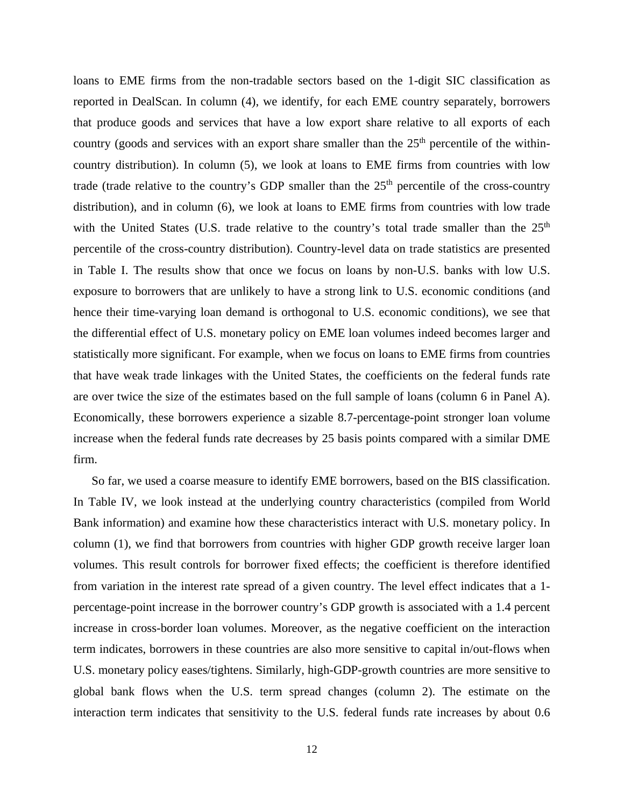loans to EME firms from the non-tradable sectors based on the 1-digit SIC classification as reported in DealScan. In column (4), we identify, for each EME country separately, borrowers that produce goods and services that have a low export share relative to all exports of each country (goods and services with an export share smaller than the  $25<sup>th</sup>$  percentile of the withincountry distribution). In column (5), we look at loans to EME firms from countries with low trade (trade relative to the country's GDP smaller than the  $25<sup>th</sup>$  percentile of the cross-country distribution), and in column (6), we look at loans to EME firms from countries with low trade with the United States (U.S. trade relative to the country's total trade smaller than the 25<sup>th</sup> percentile of the cross-country distribution). Country-level data on trade statistics are presented in Table I. The results show that once we focus on loans by non-U.S. banks with low U.S. exposure to borrowers that are unlikely to have a strong link to U.S. economic conditions (and hence their time-varying loan demand is orthogonal to U.S. economic conditions), we see that the differential effect of U.S. monetary policy on EME loan volumes indeed becomes larger and statistically more significant. For example, when we focus on loans to EME firms from countries that have weak trade linkages with the United States, the coefficients on the federal funds rate are over twice the size of the estimates based on the full sample of loans (column 6 in Panel A). Economically, these borrowers experience a sizable 8.7-percentage-point stronger loan volume increase when the federal funds rate decreases by 25 basis points compared with a similar DME firm.

So far, we used a coarse measure to identify EME borrowers, based on the BIS classification. In Table IV, we look instead at the underlying country characteristics (compiled from World Bank information) and examine how these characteristics interact with U.S. monetary policy. In column (1), we find that borrowers from countries with higher GDP growth receive larger loan volumes. This result controls for borrower fixed effects; the coefficient is therefore identified from variation in the interest rate spread of a given country. The level effect indicates that a 1 percentage-point increase in the borrower country's GDP growth is associated with a 1.4 percent increase in cross-border loan volumes. Moreover, as the negative coefficient on the interaction term indicates, borrowers in these countries are also more sensitive to capital in/out-flows when U.S. monetary policy eases/tightens. Similarly, high-GDP-growth countries are more sensitive to global bank flows when the U.S. term spread changes (column 2). The estimate on the interaction term indicates that sensitivity to the U.S. federal funds rate increases by about 0.6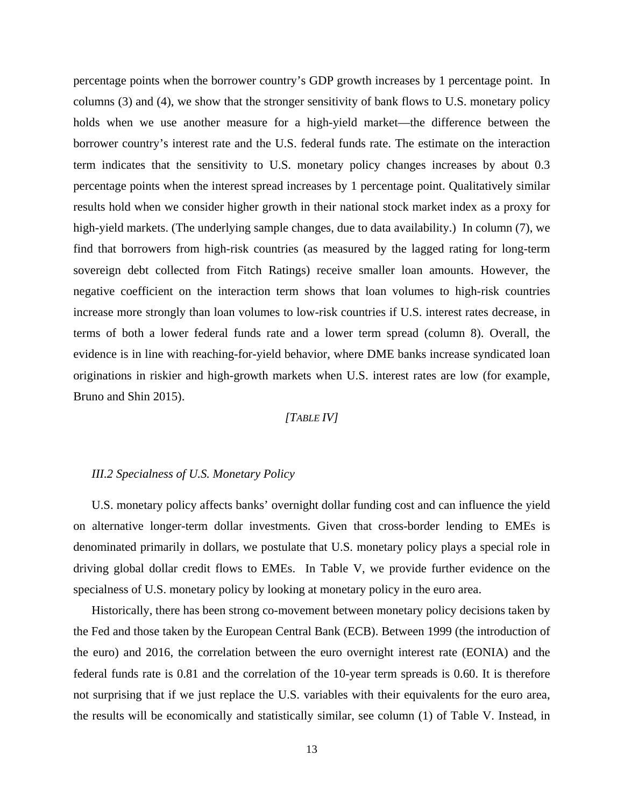percentage points when the borrower country's GDP growth increases by 1 percentage point. In columns (3) and (4), we show that the stronger sensitivity of bank flows to U.S. monetary policy holds when we use another measure for a high-yield market—the difference between the borrower country's interest rate and the U.S. federal funds rate. The estimate on the interaction term indicates that the sensitivity to U.S. monetary policy changes increases by about 0.3 percentage points when the interest spread increases by 1 percentage point. Qualitatively similar results hold when we consider higher growth in their national stock market index as a proxy for high-yield markets. (The underlying sample changes, due to data availability.) In column (7), we find that borrowers from high-risk countries (as measured by the lagged rating for long-term sovereign debt collected from Fitch Ratings) receive smaller loan amounts. However, the negative coefficient on the interaction term shows that loan volumes to high-risk countries increase more strongly than loan volumes to low-risk countries if U.S. interest rates decrease, in terms of both a lower federal funds rate and a lower term spread (column 8). Overall, the evidence is in line with reaching-for-yield behavior, where DME banks increase syndicated loan originations in riskier and high-growth markets when U.S. interest rates are low (for example, Bruno and Shin 2015).

# *[TABLE IV]*

## *III.2 Specialness of U.S. Monetary Policy*

U.S. monetary policy affects banks' overnight dollar funding cost and can influence the yield on alternative longer-term dollar investments. Given that cross-border lending to EMEs is denominated primarily in dollars, we postulate that U.S. monetary policy plays a special role in driving global dollar credit flows to EMEs. In Table V, we provide further evidence on the specialness of U.S. monetary policy by looking at monetary policy in the euro area.

Historically, there has been strong co-movement between monetary policy decisions taken by the Fed and those taken by the European Central Bank (ECB). Between 1999 (the introduction of the euro) and 2016, the correlation between the euro overnight interest rate (EONIA) and the federal funds rate is 0.81 and the correlation of the 10-year term spreads is 0.60. It is therefore not surprising that if we just replace the U.S. variables with their equivalents for the euro area, the results will be economically and statistically similar, see column (1) of Table V. Instead, in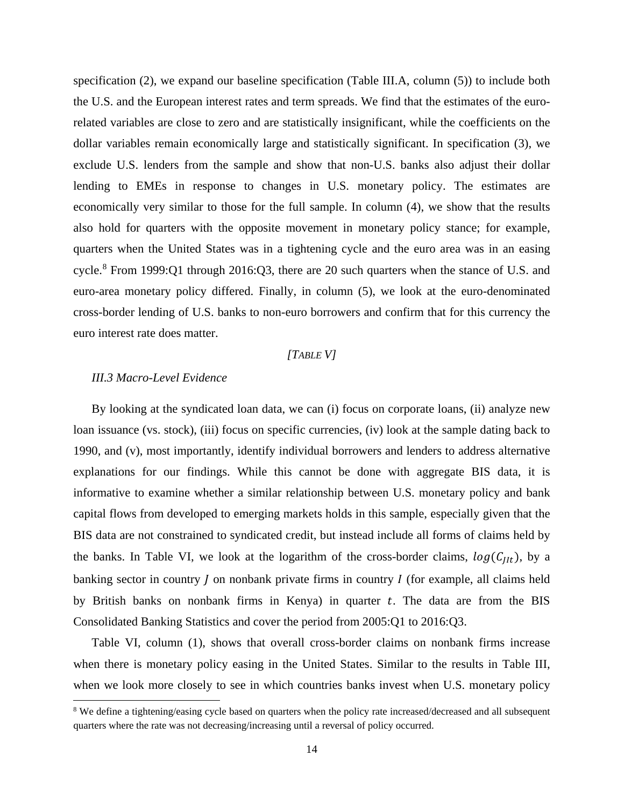specification (2), we expand our baseline specification (Table III.A, column (5)) to include both the U.S. and the European interest rates and term spreads. We find that the estimates of the eurorelated variables are close to zero and are statistically insignificant, while the coefficients on the dollar variables remain economically large and statistically significant. In specification (3), we exclude U.S. lenders from the sample and show that non-U.S. banks also adjust their dollar lending to EMEs in response to changes in U.S. monetary policy. The estimates are economically very similar to those for the full sample. In column (4), we show that the results also hold for quarters with the opposite movement in monetary policy stance; for example, quarters when the United States was in a tightening cycle and the euro area was in an easing cycle.[8](#page-14-0) From 1999:Q1 through 2016:Q3, there are 20 such quarters when the stance of U.S. and euro-area monetary policy differed. Finally, in column (5), we look at the euro-denominated cross-border lending of U.S. banks to non-euro borrowers and confirm that for this currency the euro interest rate does matter.

## *[TABLE V]*

### *III.3 Macro-Level Evidence*

l

By looking at the syndicated loan data, we can (i) focus on corporate loans, (ii) analyze new loan issuance (vs. stock), (iii) focus on specific currencies, (iv) look at the sample dating back to 1990, and (v), most importantly, identify individual borrowers and lenders to address alternative explanations for our findings. While this cannot be done with aggregate BIS data, it is informative to examine whether a similar relationship between U.S. monetary policy and bank capital flows from developed to emerging markets holds in this sample, especially given that the BIS data are not constrained to syndicated credit, but instead include all forms of claims held by the banks. In Table VI, we look at the logarithm of the cross-border claims,  $log(C<sub>JIt</sub>)$ , by a banking sector in country  *on nonbank private firms in country*  $*I*$  *(for example, all claims held* by British banks on nonbank firms in Kenya) in quarter  $t$ . The data are from the BIS Consolidated Banking Statistics and cover the period from 2005:Q1 to 2016:Q3.

Table VI, column (1), shows that overall cross-border claims on nonbank firms increase when there is monetary policy easing in the United States. Similar to the results in Table III, when we look more closely to see in which countries banks invest when U.S. monetary policy

<span id="page-14-0"></span><sup>&</sup>lt;sup>8</sup> We define a tightening/easing cycle based on quarters when the policy rate increased/decreased and all subsequent quarters where the rate was not decreasing/increasing until a reversal of policy occurred.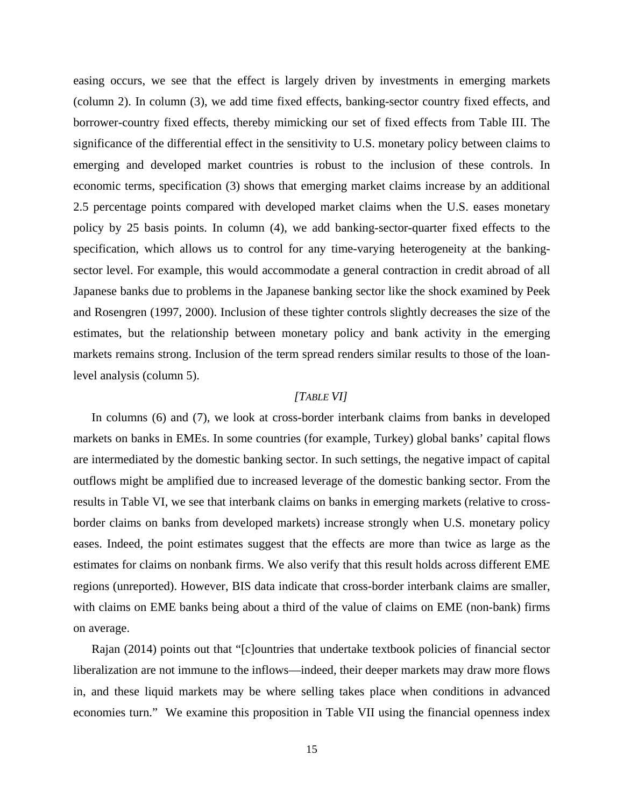easing occurs, we see that the effect is largely driven by investments in emerging markets (column 2). In column (3), we add time fixed effects, banking-sector country fixed effects, and borrower-country fixed effects, thereby mimicking our set of fixed effects from Table III. The significance of the differential effect in the sensitivity to U.S. monetary policy between claims to emerging and developed market countries is robust to the inclusion of these controls. In economic terms, specification (3) shows that emerging market claims increase by an additional 2.5 percentage points compared with developed market claims when the U.S. eases monetary policy by 25 basis points. In column (4), we add banking-sector-quarter fixed effects to the specification, which allows us to control for any time-varying heterogeneity at the bankingsector level. For example, this would accommodate a general contraction in credit abroad of all Japanese banks due to problems in the Japanese banking sector like the shock examined by Peek and Rosengren (1997, 2000). Inclusion of these tighter controls slightly decreases the size of the estimates, but the relationship between monetary policy and bank activity in the emerging markets remains strong. Inclusion of the term spread renders similar results to those of the loanlevel analysis (column 5).

## *[TABLE VI]*

In columns (6) and (7), we look at cross-border interbank claims from banks in developed markets on banks in EMEs. In some countries (for example, Turkey) global banks' capital flows are intermediated by the domestic banking sector. In such settings, the negative impact of capital outflows might be amplified due to increased leverage of the domestic banking sector. From the results in Table VI, we see that interbank claims on banks in emerging markets (relative to crossborder claims on banks from developed markets) increase strongly when U.S. monetary policy eases. Indeed, the point estimates suggest that the effects are more than twice as large as the estimates for claims on nonbank firms. We also verify that this result holds across different EME regions (unreported). However, BIS data indicate that cross-border interbank claims are smaller, with claims on EME banks being about a third of the value of claims on EME (non-bank) firms on average.

Rajan (2014) points out that "[c]ountries that undertake textbook policies of financial sector liberalization are not immune to the inflows—indeed, their deeper markets may draw more flows in, and these liquid markets may be where selling takes place when conditions in advanced economies turn." We examine this proposition in Table VII using the financial openness index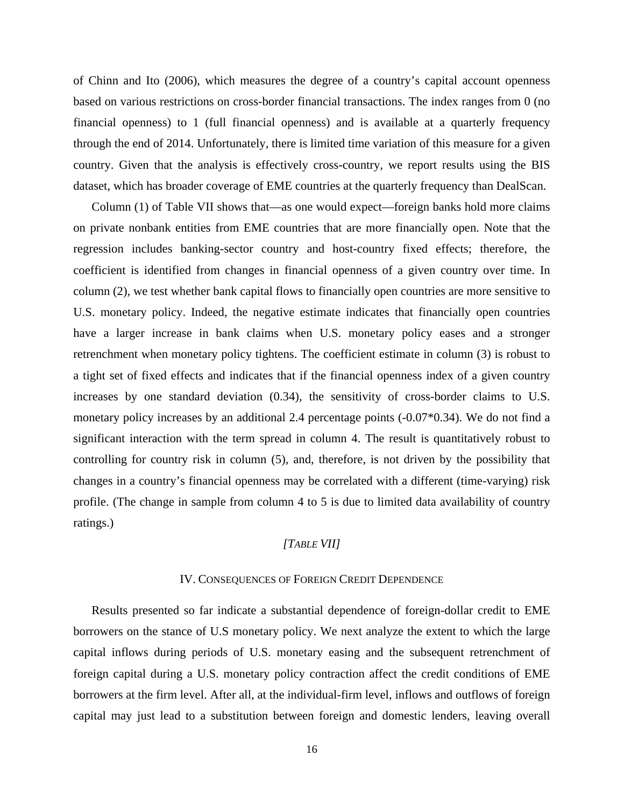of Chinn and Ito (2006), which measures the degree of a country's capital account openness based on various restrictions on cross-border financial transactions. The index ranges from 0 (no financial openness) to 1 (full financial openness) and is available at a quarterly frequency through the end of 2014. Unfortunately, there is limited time variation of this measure for a given country. Given that the analysis is effectively cross-country, we report results using the BIS dataset, which has broader coverage of EME countries at the quarterly frequency than DealScan.

Column (1) of Table VII shows that—as one would expect—foreign banks hold more claims on private nonbank entities from EME countries that are more financially open. Note that the regression includes banking-sector country and host-country fixed effects; therefore, the coefficient is identified from changes in financial openness of a given country over time. In column (2), we test whether bank capital flows to financially open countries are more sensitive to U.S. monetary policy. Indeed, the negative estimate indicates that financially open countries have a larger increase in bank claims when U.S. monetary policy eases and a stronger retrenchment when monetary policy tightens. The coefficient estimate in column (3) is robust to a tight set of fixed effects and indicates that if the financial openness index of a given country increases by one standard deviation (0.34), the sensitivity of cross-border claims to U.S. monetary policy increases by an additional 2.4 percentage points (-0.07\*0.34). We do not find a significant interaction with the term spread in column 4. The result is quantitatively robust to controlling for country risk in column (5), and, therefore, is not driven by the possibility that changes in a country's financial openness may be correlated with a different (time-varying) risk profile. (The change in sample from column 4 to 5 is due to limited data availability of country ratings.)

## *[TABLE VII]*

### IV. CONSEQUENCES OF FOREIGN CREDIT DEPENDENCE

Results presented so far indicate a substantial dependence of foreign-dollar credit to EME borrowers on the stance of U.S monetary policy. We next analyze the extent to which the large capital inflows during periods of U.S. monetary easing and the subsequent retrenchment of foreign capital during a U.S. monetary policy contraction affect the credit conditions of EME borrowers at the firm level. After all, at the individual-firm level, inflows and outflows of foreign capital may just lead to a substitution between foreign and domestic lenders, leaving overall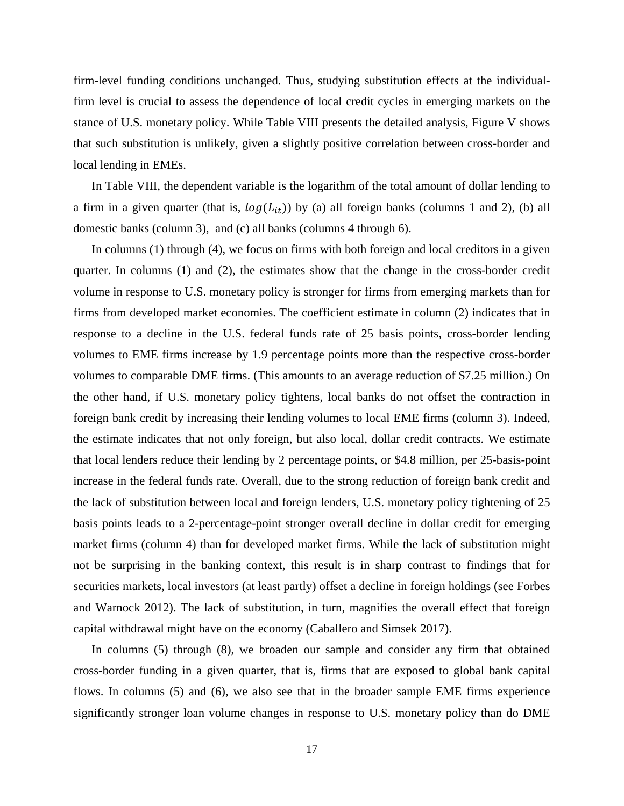firm-level funding conditions unchanged. Thus, studying substitution effects at the individualfirm level is crucial to assess the dependence of local credit cycles in emerging markets on the stance of U.S. monetary policy. While Table VIII presents the detailed analysis, Figure V shows that such substitution is unlikely, given a slightly positive correlation between cross-border and local lending in EMEs.

In Table VIII, the dependent variable is the logarithm of the total amount of dollar lending to a firm in a given quarter (that is,  $log(L_{it})$ ) by (a) all foreign banks (columns 1 and 2), (b) all domestic banks (column 3), and (c) all banks (columns 4 through 6).

In columns (1) through (4), we focus on firms with both foreign and local creditors in a given quarter. In columns (1) and (2), the estimates show that the change in the cross-border credit volume in response to U.S. monetary policy is stronger for firms from emerging markets than for firms from developed market economies. The coefficient estimate in column (2) indicates that in response to a decline in the U.S. federal funds rate of 25 basis points, cross-border lending volumes to EME firms increase by 1.9 percentage points more than the respective cross-border volumes to comparable DME firms. (This amounts to an average reduction of \$7.25 million.) On the other hand, if U.S. monetary policy tightens, local banks do not offset the contraction in foreign bank credit by increasing their lending volumes to local EME firms (column 3). Indeed, the estimate indicates that not only foreign, but also local, dollar credit contracts. We estimate that local lenders reduce their lending by 2 percentage points, or \$4.8 million, per 25-basis-point increase in the federal funds rate. Overall, due to the strong reduction of foreign bank credit and the lack of substitution between local and foreign lenders, U.S. monetary policy tightening of 25 basis points leads to a 2-percentage-point stronger overall decline in dollar credit for emerging market firms (column 4) than for developed market firms. While the lack of substitution might not be surprising in the banking context, this result is in sharp contrast to findings that for securities markets, local investors (at least partly) offset a decline in foreign holdings (see Forbes and Warnock 2012). The lack of substitution, in turn, magnifies the overall effect that foreign capital withdrawal might have on the economy (Caballero and Simsek 2017).

In columns (5) through (8), we broaden our sample and consider any firm that obtained cross-border funding in a given quarter, that is, firms that are exposed to global bank capital flows. In columns (5) and (6), we also see that in the broader sample EME firms experience significantly stronger loan volume changes in response to U.S. monetary policy than do DME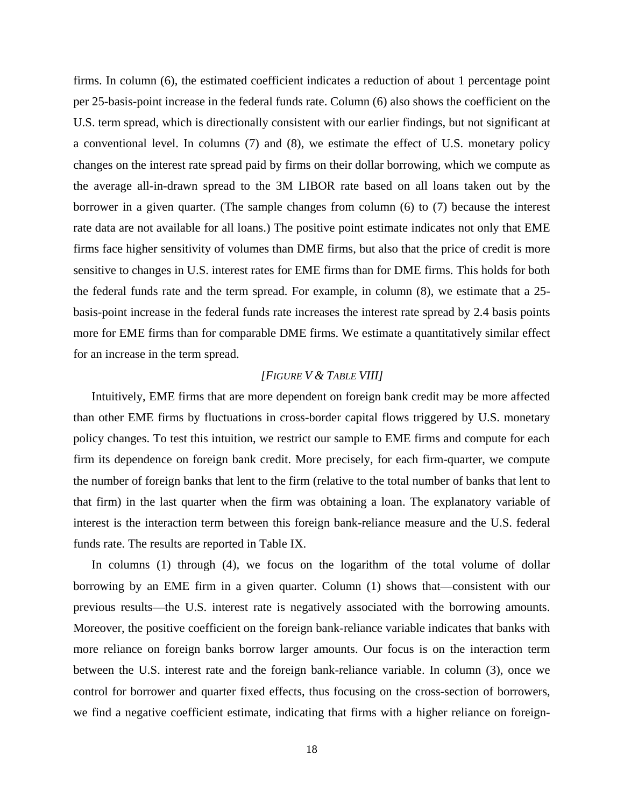firms. In column (6), the estimated coefficient indicates a reduction of about 1 percentage point per 25-basis-point increase in the federal funds rate. Column (6) also shows the coefficient on the U.S. term spread, which is directionally consistent with our earlier findings, but not significant at a conventional level. In columns (7) and (8), we estimate the effect of U.S. monetary policy changes on the interest rate spread paid by firms on their dollar borrowing, which we compute as the average all-in-drawn spread to the 3M LIBOR rate based on all loans taken out by the borrower in a given quarter. (The sample changes from column (6) to (7) because the interest rate data are not available for all loans.) The positive point estimate indicates not only that EME firms face higher sensitivity of volumes than DME firms, but also that the price of credit is more sensitive to changes in U.S. interest rates for EME firms than for DME firms. This holds for both the federal funds rate and the term spread. For example, in column (8), we estimate that a 25 basis-point increase in the federal funds rate increases the interest rate spread by 2.4 basis points more for EME firms than for comparable DME firms. We estimate a quantitatively similar effect for an increase in the term spread.

## *[FIGURE V & TABLE VIII]*

Intuitively, EME firms that are more dependent on foreign bank credit may be more affected than other EME firms by fluctuations in cross-border capital flows triggered by U.S. monetary policy changes. To test this intuition, we restrict our sample to EME firms and compute for each firm its dependence on foreign bank credit. More precisely, for each firm-quarter, we compute the number of foreign banks that lent to the firm (relative to the total number of banks that lent to that firm) in the last quarter when the firm was obtaining a loan. The explanatory variable of interest is the interaction term between this foreign bank-reliance measure and the U.S. federal funds rate. The results are reported in Table IX.

In columns (1) through (4), we focus on the logarithm of the total volume of dollar borrowing by an EME firm in a given quarter. Column (1) shows that—consistent with our previous results—the U.S. interest rate is negatively associated with the borrowing amounts. Moreover, the positive coefficient on the foreign bank-reliance variable indicates that banks with more reliance on foreign banks borrow larger amounts. Our focus is on the interaction term between the U.S. interest rate and the foreign bank-reliance variable. In column (3), once we control for borrower and quarter fixed effects, thus focusing on the cross-section of borrowers, we find a negative coefficient estimate, indicating that firms with a higher reliance on foreign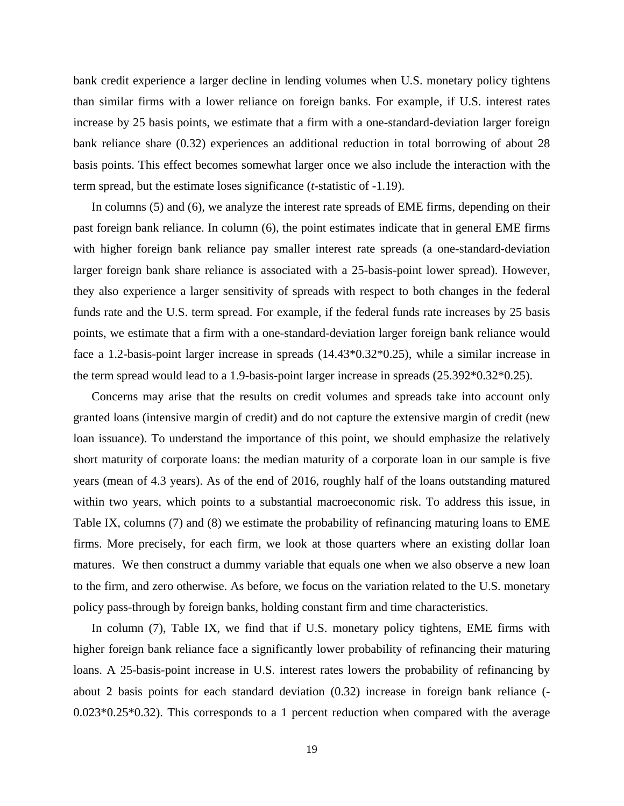bank credit experience a larger decline in lending volumes when U.S. monetary policy tightens than similar firms with a lower reliance on foreign banks. For example, if U.S. interest rates increase by 25 basis points, we estimate that a firm with a one-standard-deviation larger foreign bank reliance share (0.32) experiences an additional reduction in total borrowing of about 28 basis points. This effect becomes somewhat larger once we also include the interaction with the term spread, but the estimate loses significance (*t*-statistic of -1.19).

In columns (5) and (6), we analyze the interest rate spreads of EME firms, depending on their past foreign bank reliance. In column (6), the point estimates indicate that in general EME firms with higher foreign bank reliance pay smaller interest rate spreads (a one-standard-deviation larger foreign bank share reliance is associated with a 25-basis-point lower spread). However, they also experience a larger sensitivity of spreads with respect to both changes in the federal funds rate and the U.S. term spread. For example, if the federal funds rate increases by 25 basis points, we estimate that a firm with a one-standard-deviation larger foreign bank reliance would face a 1.2-basis-point larger increase in spreads (14.43\*0.32\*0.25), while a similar increase in the term spread would lead to a 1.9-basis-point larger increase in spreads (25.392\*0.32\*0.25).

Concerns may arise that the results on credit volumes and spreads take into account only granted loans (intensive margin of credit) and do not capture the extensive margin of credit (new loan issuance). To understand the importance of this point, we should emphasize the relatively short maturity of corporate loans: the median maturity of a corporate loan in our sample is five years (mean of 4.3 years). As of the end of 2016, roughly half of the loans outstanding matured within two years, which points to a substantial macroeconomic risk. To address this issue, in Table IX, columns (7) and (8) we estimate the probability of refinancing maturing loans to EME firms. More precisely, for each firm, we look at those quarters where an existing dollar loan matures. We then construct a dummy variable that equals one when we also observe a new loan to the firm, and zero otherwise. As before, we focus on the variation related to the U.S. monetary policy pass-through by foreign banks, holding constant firm and time characteristics.

In column (7), Table IX, we find that if U.S. monetary policy tightens, EME firms with higher foreign bank reliance face a significantly lower probability of refinancing their maturing loans. A 25-basis-point increase in U.S. interest rates lowers the probability of refinancing by about 2 basis points for each standard deviation (0.32) increase in foreign bank reliance (-  $0.023*0.25*0.32$ ). This corresponds to a 1 percent reduction when compared with the average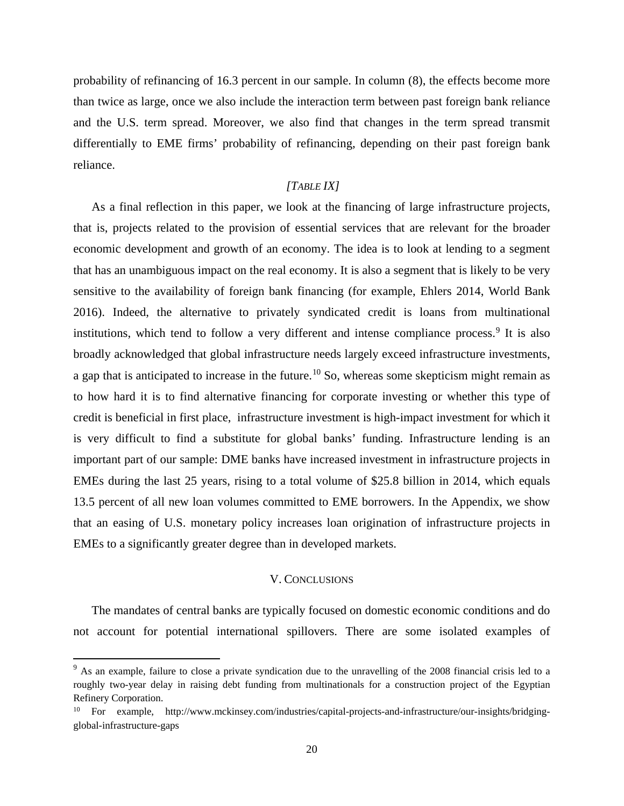probability of refinancing of 16.3 percent in our sample. In column (8), the effects become more than twice as large, once we also include the interaction term between past foreign bank reliance and the U.S. term spread. Moreover, we also find that changes in the term spread transmit differentially to EME firms' probability of refinancing, depending on their past foreign bank reliance.

## *[TABLE IX]*

As a final reflection in this paper, we look at the financing of large infrastructure projects, that is, projects related to the provision of essential services that are relevant for the broader economic development and growth of an economy. The idea is to look at lending to a segment that has an unambiguous impact on the real economy. It is also a segment that is likely to be very sensitive to the availability of foreign bank financing (for example, Ehlers 2014, World Bank 2016). Indeed, the alternative to privately syndicated credit is loans from multinational institutions, which tend to follow a very different and intense compliance process.<sup>[9](#page-20-0)</sup> It is also broadly acknowledged that global infrastructure needs largely exceed infrastructure investments, a gap that is anticipated to increase in the future.<sup>[10](#page-20-1)</sup> So, whereas some skepticism might remain as to how hard it is to find alternative financing for corporate investing or whether this type of credit is beneficial in first place, infrastructure investment is high-impact investment for which it is very difficult to find a substitute for global banks' funding. Infrastructure lending is an important part of our sample: DME banks have increased investment in infrastructure projects in EMEs during the last 25 years, rising to a total volume of \$25.8 billion in 2014, which equals 13.5 percent of all new loan volumes committed to EME borrowers. In the Appendix, we show that an easing of U.S. monetary policy increases loan origination of infrastructure projects in EMEs to a significantly greater degree than in developed markets.

## V. CONCLUSIONS

The mandates of central banks are typically focused on domestic economic conditions and do not account for potential international spillovers. There are some isolated examples of

 $\overline{\phantom{a}}$ 

<span id="page-20-0"></span><sup>&</sup>lt;sup>9</sup> As an example, failure to close a private syndication due to the unravelling of the 2008 financial crisis led to a roughly two-year delay in raising debt funding from multinationals for a construction project of the Egyptian Refinery Corporation.

<span id="page-20-1"></span><sup>10</sup> For example, http://www.mckinsey.com/industries/capital-projects-and-infrastructure/our-insights/bridgingglobal-infrastructure-gaps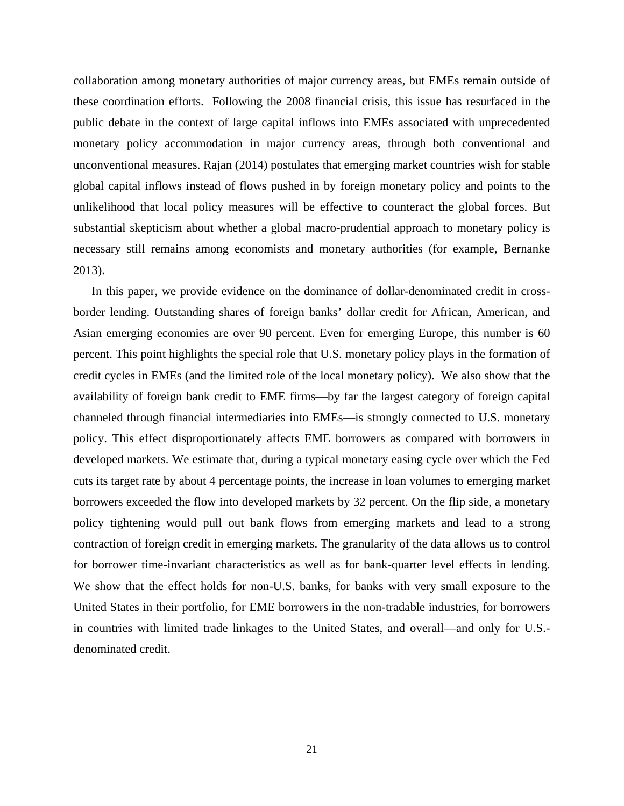collaboration among monetary authorities of major currency areas, but EMEs remain outside of these coordination efforts. Following the 2008 financial crisis, this issue has resurfaced in the public debate in the context of large capital inflows into EMEs associated with unprecedented monetary policy accommodation in major currency areas, through both conventional and unconventional measures. Rajan (2014) postulates that emerging market countries wish for stable global capital inflows instead of flows pushed in by foreign monetary policy and points to the unlikelihood that local policy measures will be effective to counteract the global forces. But substantial skepticism about whether a global macro-prudential approach to monetary policy is necessary still remains among economists and monetary authorities (for example, Bernanke 2013).

In this paper, we provide evidence on the dominance of dollar-denominated credit in crossborder lending. Outstanding shares of foreign banks' dollar credit for African, American, and Asian emerging economies are over 90 percent. Even for emerging Europe, this number is 60 percent. This point highlights the special role that U.S. monetary policy plays in the formation of credit cycles in EMEs (and the limited role of the local monetary policy). We also show that the availability of foreign bank credit to EME firms—by far the largest category of foreign capital channeled through financial intermediaries into EMEs—is strongly connected to U.S. monetary policy. This effect disproportionately affects EME borrowers as compared with borrowers in developed markets. We estimate that, during a typical monetary easing cycle over which the Fed cuts its target rate by about 4 percentage points, the increase in loan volumes to emerging market borrowers exceeded the flow into developed markets by 32 percent. On the flip side, a monetary policy tightening would pull out bank flows from emerging markets and lead to a strong contraction of foreign credit in emerging markets. The granularity of the data allows us to control for borrower time-invariant characteristics as well as for bank-quarter level effects in lending. We show that the effect holds for non-U.S. banks, for banks with very small exposure to the United States in their portfolio, for EME borrowers in the non-tradable industries, for borrowers in countries with limited trade linkages to the United States, and overall—and only for U.S. denominated credit.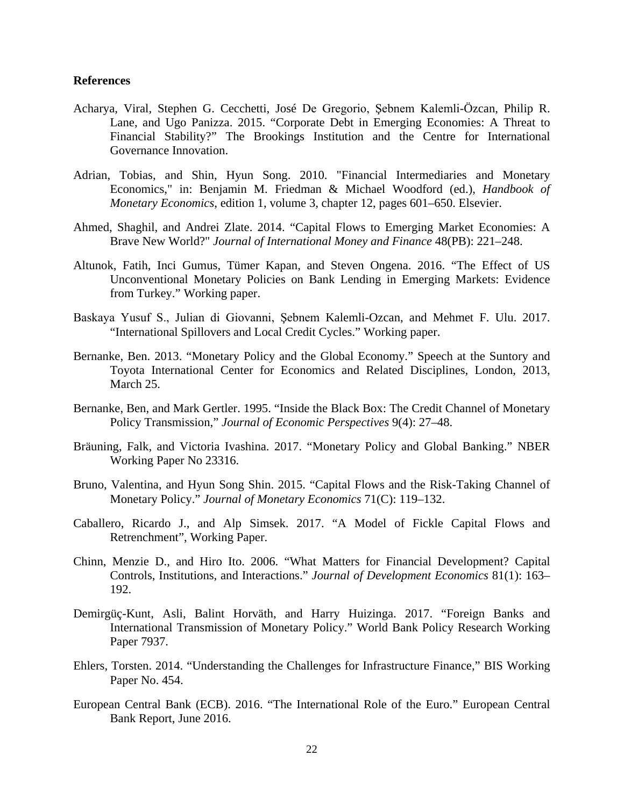### **References**

- Acharya, Viral, Stephen G. Cecchetti, José De Gregorio, Şebnem Kalemli-Özcan, Philip R. Lane, and Ugo Panizza. 2015. "Corporate Debt in Emerging Economies: A Threat to Financial Stability?" The Brookings Institution and the Centre for International Governance Innovation.
- Adrian, Tobias, and Shin, Hyun Song. 2010. "Financial Intermediaries and Monetary Economics," in: Benjamin M. Friedman & Michael Woodford (ed.), *Handbook of Monetary Economics*, edition 1, volume 3, chapter 12, pages 601–650. Elsevier.
- Ahmed, Shaghil, and Andrei Zlate. 2014. "Capital Flows to Emerging Market Economies: A Brave New World?" *Journal of International Money and Finance* 48(PB): 221–248.
- Altunok, Fatih, Inci Gumus, Tümer Kapan, and Steven Ongena. 2016. "The Effect of US Unconventional Monetary Policies on Bank Lending in Emerging Markets: Evidence from Turkey." Working paper.
- Baskaya Yusuf S., Julian di Giovanni, Şebnem Kalemli-Ozcan, and Mehmet F. Ulu. 2017. "International Spillovers and Local Credit Cycles." Working paper.
- Bernanke, Ben. 2013. "Monetary Policy and the Global Economy." Speech at the Suntory and Toyota International Center for Economics and Related Disciplines, London, 2013, March 25.
- Bernanke, Ben, and Mark Gertler. 1995. "Inside the Black Box: The Credit Channel of Monetary Policy Transmission," *Journal of Economic Perspectives* 9(4): 27–48.
- Bräuning, Falk, and Victoria Ivashina. 2017. "Monetary Policy and Global Banking." NBER Working Paper No 23316.
- Bruno, Valentina, and Hyun Song Shin. 2015. "Capital Flows and the Risk-Taking Channel of Monetary Policy." *Journal of Monetary Economics* 71(C): 119–132.
- Caballero, Ricardo J., and Alp Simsek. 2017. "A Model of Fickle Capital Flows and Retrenchment", Working Paper.
- Chinn, Menzie D., and Hiro Ito. 2006. ["What Matters for Financial Development? Capital](http://web.pdx.edu/%7Eito/w11370.pdf)  Controls, [Institutions, and Interactions."](http://web.pdx.edu/%7Eito/w11370.pdf) *Journal of Development Economics* 81(1): 163– 192.
- Demirgüç-Kunt, Asli, Balint Horväth, and Harry Huizinga. 2017. "Foreign Banks and International Transmission of Monetary Policy." World Bank Policy Research Working Paper 7937.
- Ehlers, Torsten. 2014. "Understanding the Challenges for Infrastructure Finance," BIS Working Paper No. 454.
- European Central Bank (ECB). 2016. "The International Role of the Euro." European Central Bank Report, June 2016.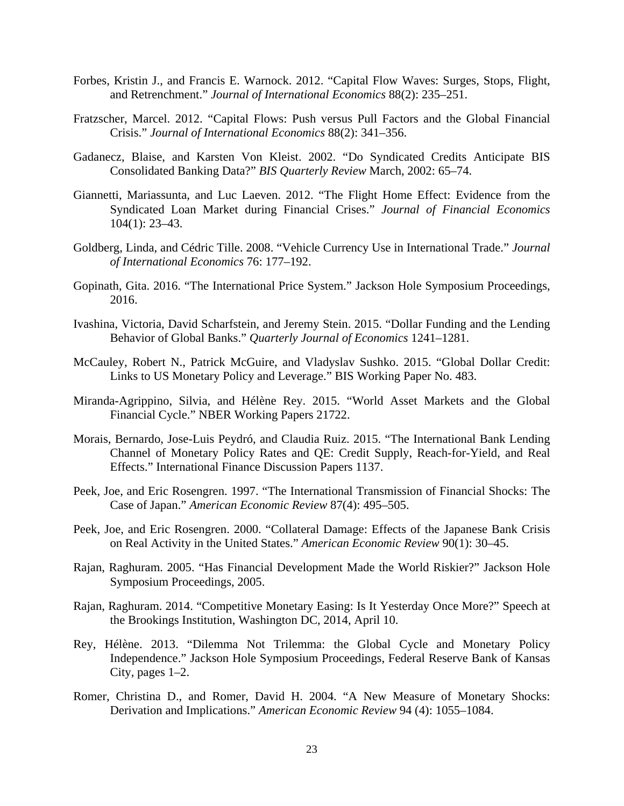- Forbes, Kristin J., and Francis E. Warnock. 2012. "Capital Flow Waves: Surges, Stops, Flight, and Retrenchment." *Journal of International Economics* 88(2): 235–251.
- Fratzscher, Marcel. 2012. "Capital Flows: Push versus Pull Factors and the Global Financial Crisis." *Journal of International Economics* 88(2): 341–356.
- Gadanecz, Blaise, and Karsten Von Kleist. 2002. "Do Syndicated Credits Anticipate BIS Consolidated Banking Data?" *BIS Quarterly Review* March, 2002: 65–74.
- Giannetti, Mariassunta, and Luc Laeven. 2012. "The Flight Home Effect: Evidence from the Syndicated Loan Market during Financial Crises." *Journal of Financial Economics* 104(1): 23–43.
- Goldberg, Linda, and Cédric Tille. 2008. "Vehicle Currency Use in International Trade." *Journal of International Economics* 76: 177–192.
- Gopinath, Gita. 2016. "The International Price System." Jackson Hole Symposium Proceedings, 2016.
- Ivashina, Victoria, David Scharfstein, and Jeremy Stein. 2015. "Dollar Funding and the Lending Behavior of Global Banks." *Quarterly Journal of Economics* 1241–1281.
- McCauley, Robert N., Patrick McGuire, and Vladyslav Sushko. 2015. "Global Dollar Credit: Links to US Monetary Policy and Leverage." BIS Working Paper No. 483.
- Miranda-Agrippino, Silvia, and Hélène Rey. 2015. "World Asset Markets and the Global Financial Cycle." NBER Working Papers 21722.
- Morais, Bernardo, Jose-Luis Peydró, and Claudia Ruiz. 2015. "The International Bank Lending Channel of Monetary Policy Rates and QE: Credit Supply, Reach-for-Yield, and Real Effects." International Finance Discussion Papers 1137.
- Peek, Joe, and Eric Rosengren. 1997. "The International Transmission of Financial Shocks: The Case of Japan." *American Economic Review* 87(4): 495–505.
- Peek, Joe, and Eric Rosengren. 2000. "Collateral Damage: Effects of the Japanese Bank Crisis on Real Activity in the United States." *American Economic Review* 90(1): 30–45.
- Rajan, Raghuram. 2005. "Has Financial Development Made the World Riskier?" Jackson Hole Symposium Proceedings, 2005.
- Rajan, Raghuram. 2014. "Competitive Monetary Easing: Is It Yesterday Once More?" Speech at the Brookings Institution, Washington DC, 2014, April 10.
- Rey, Hélène. 2013. "Dilemma Not Trilemma: the Global Cycle and Monetary Policy Independence." Jackson Hole Symposium Proceedings, Federal Reserve Bank of Kansas City, pages 1–2.
- Romer, Christina D., and Romer, David H. 2004. "A New Measure of Monetary Shocks: Derivation and Implications." *American Economic Review* 94 (4): 1055–1084.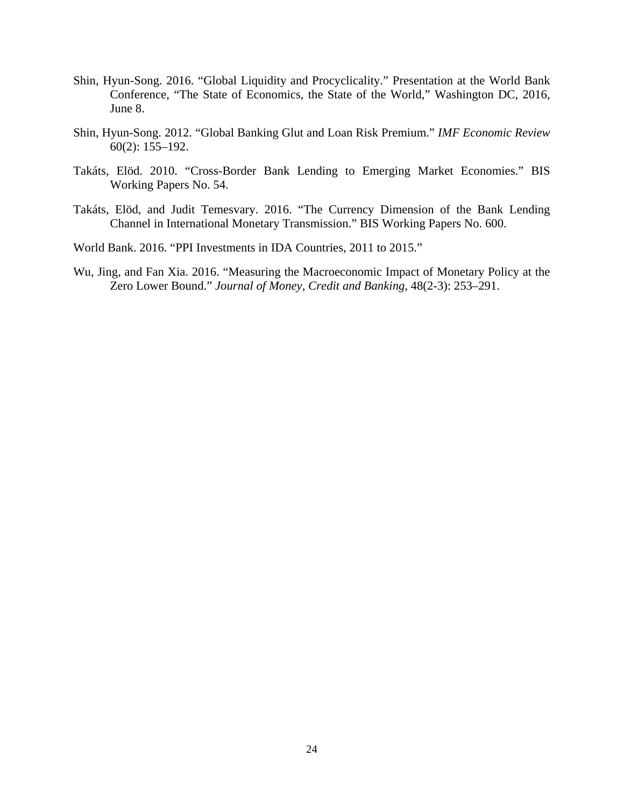- Shin, Hyun-Song. 2016. "Global Liquidity and Procyclicality." Presentation at the World Bank Conference, "The State of Economics, the State of the World," Washington DC, 2016, June 8.
- Shin, Hyun-Song. 2012. "Global Banking Glut and Loan Risk Premium." *IMF Economic Review*  60(2): 155–192.
- Takáts, Elöd. 2010. "Cross-Border Bank Lending to Emerging Market Economies." BIS Working Papers No. 54.
- Takáts, Elöd, and Judit Temesvary. 2016. "The Currency Dimension of the Bank Lending Channel in International Monetary Transmission." BIS Working Papers No. 600.
- World Bank. 2016. "PPI Investments in IDA Countries, 2011 to 2015."
- Wu, Jing, and Fan Xia. 2016. "Measuring the Macroeconomic Impact of Monetary Policy at the Zero Lower Bound." *Journal of Money, Credit and Banking*, 48(2-3): 253–291.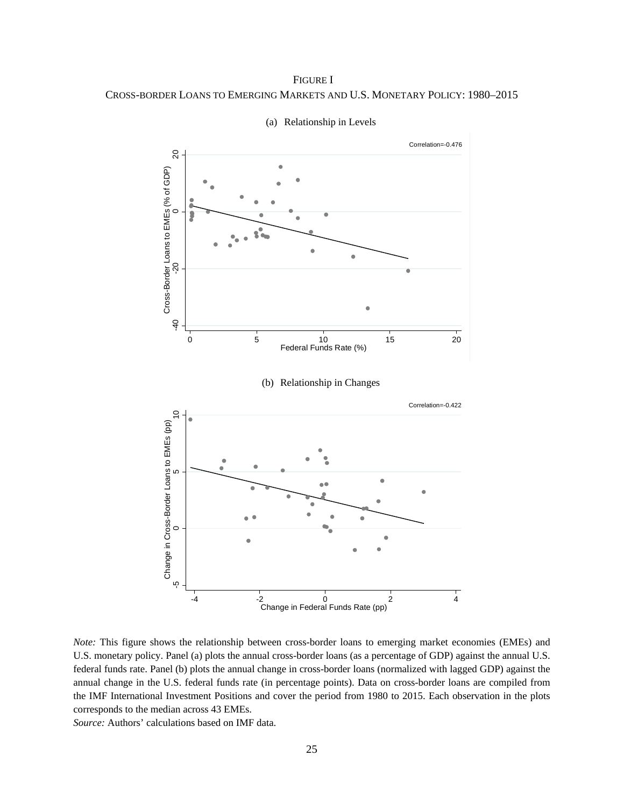FIGURE I CROSS-BORDER LOANS TO EMERGING MARKETS AND U.S. MONETARY POLICY: 1980–2015



(a) Relationship in Levels

*Note:* This figure shows the relationship between cross-border loans to emerging market economies (EMEs) and U.S. monetary policy. Panel (a) plots the annual cross-border loans (as a percentage of GDP) against the annual U.S. federal funds rate. Panel (b) plots the annual change in cross-border loans (normalized with lagged GDP) against the annual change in the U.S. federal funds rate (in percentage points). Data on cross-border loans are compiled from the IMF International Investment Positions and cover the period from 1980 to 2015. Each observation in the plots corresponds to the median across 43 EMEs.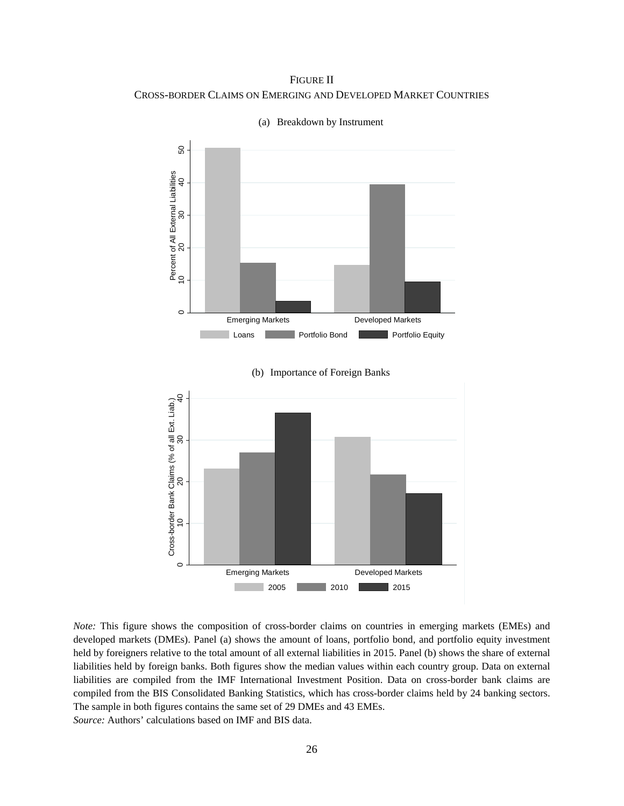FIGURE II CROSS-BORDER CLAIMS ON EMERGING AND DEVELOPED MARKET COUNTRIES



(a) Breakdown by Instrument

*Note:* This figure shows the composition of cross-border claims on countries in emerging markets (EMEs) and developed markets (DMEs). Panel (a) shows the amount of loans, portfolio bond, and portfolio equity investment held by foreigners relative to the total amount of all external liabilities in 2015. Panel (b) shows the share of external liabilities held by foreign banks. Both figures show the median values within each country group. Data on external liabilities are compiled from the IMF International Investment Position. Data on cross-border bank claims are compiled from the BIS Consolidated Banking Statistics, which has cross-border claims held by 24 banking sectors. The sample in both figures contains the same set of 29 DMEs and 43 EMEs. *Source:* Authors' calculations based on IMF and BIS data.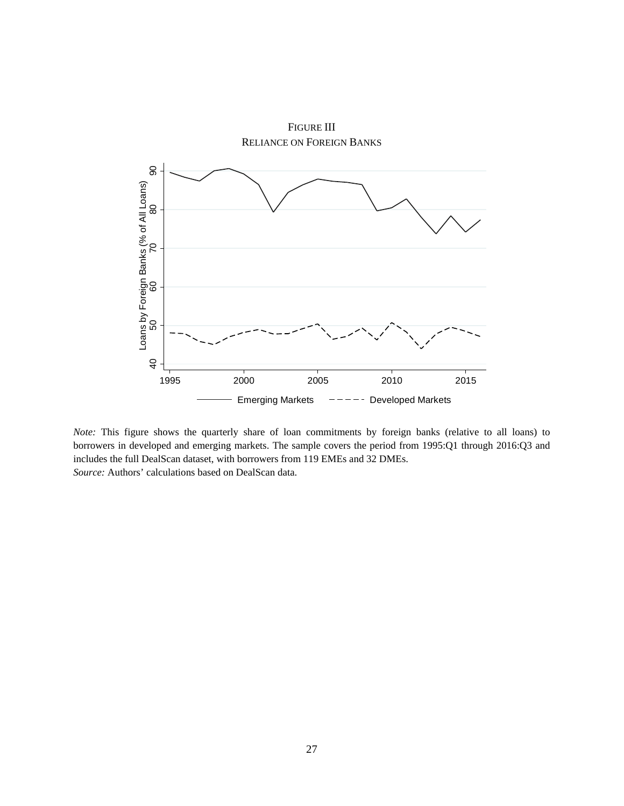

*Note:* This figure shows the quarterly share of loan commitments by foreign banks (relative to all loans) to borrowers in developed and emerging markets. The sample covers the period from 1995:Q1 through 2016:Q3 and includes the full DealScan dataset, with borrowers from 119 EMEs and 32 DMEs.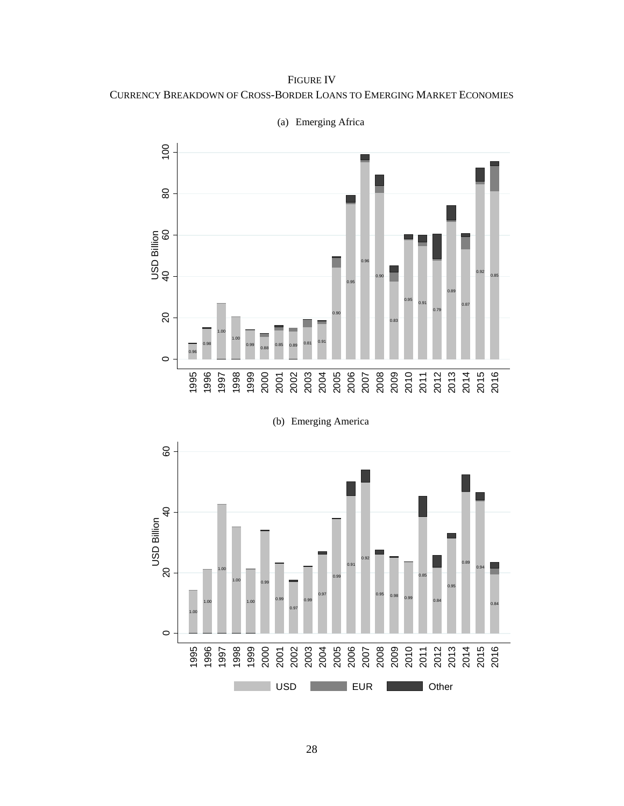FIGURE IV CURRENCY BREAKDOWN OF CROSS-BORDER LOANS TO EMERGING MARKET ECONOMIES







(b) Emerging America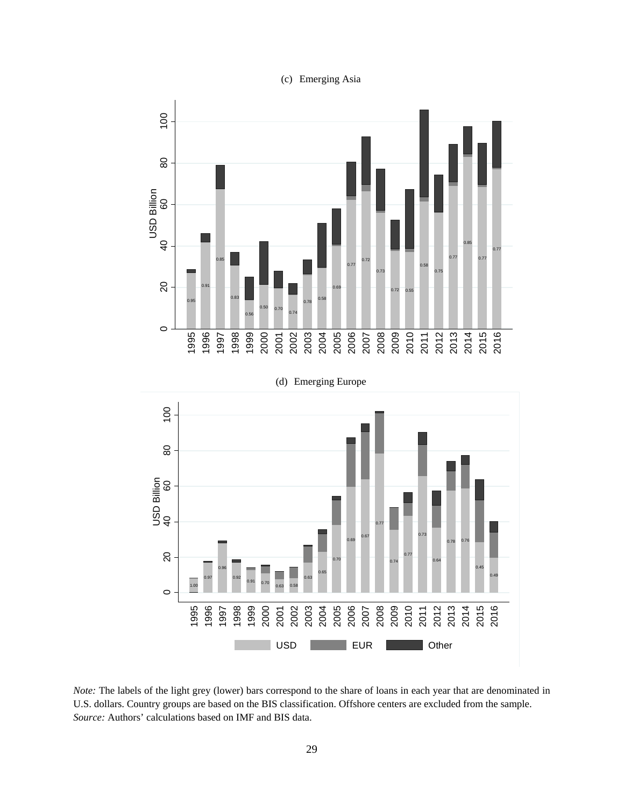

*Note:* The labels of the light grey (lower) bars correspond to the share of loans in each year that are denominated in U.S. dollars. Country groups are based on the BIS classification. Offshore centers are excluded from the sample. *Source:* Authors' calculations based on IMF and BIS data.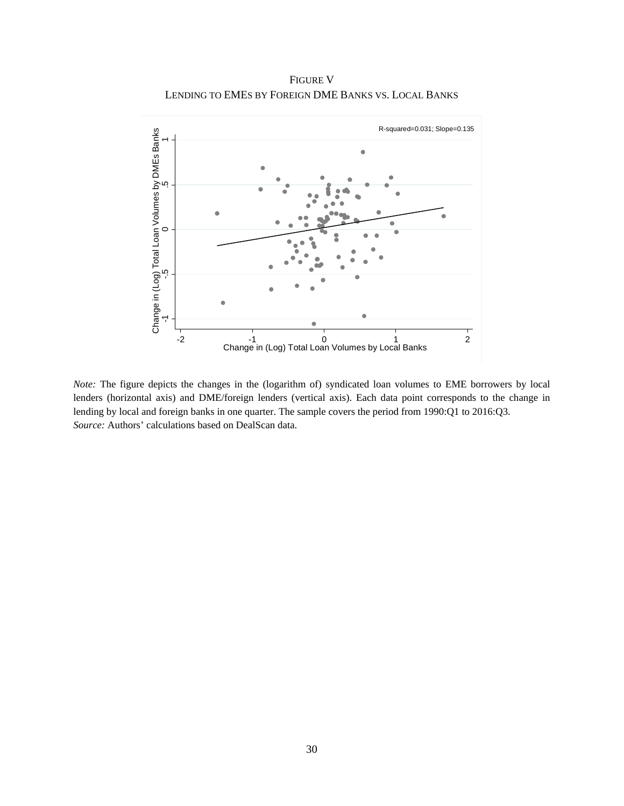FIGURE V LENDING TO EMES BY FOREIGN DME BANKS VS. LOCAL BANKS



*Note:* The figure depicts the changes in the (logarithm of) syndicated loan volumes to EME borrowers by local lenders (horizontal axis) and DME/foreign lenders (vertical axis). Each data point corresponds to the change in lending by local and foreign banks in one quarter. The sample covers the period from 1990:Q1 to 2016:Q3.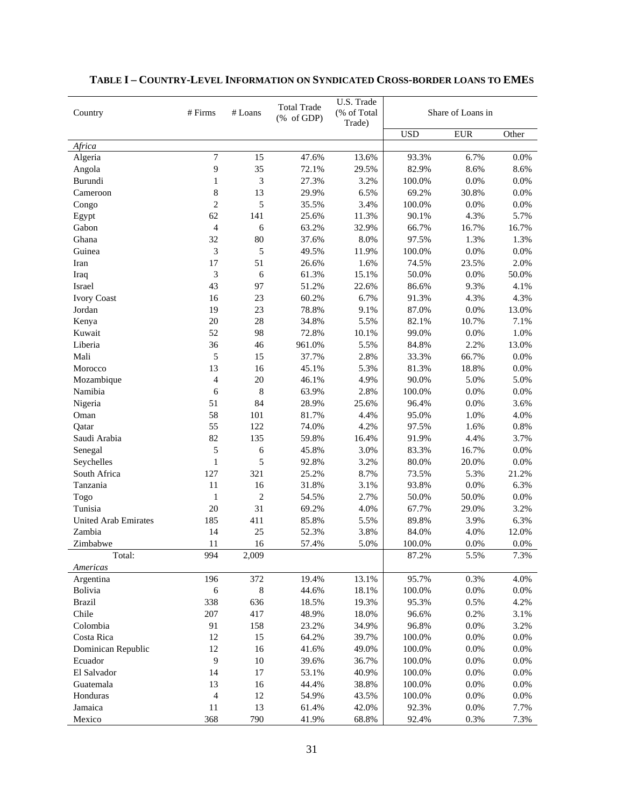|                             | # Firms        | # Loans        | <b>Total Trade</b>           | U.S. Trade<br>(% of Total | Share of Loans in |            |         |
|-----------------------------|----------------|----------------|------------------------------|---------------------------|-------------------|------------|---------|
| Country                     |                |                | $(% \mathcal{L}_{0}$ of GDP) | Trade)                    |                   |            |         |
|                             |                |                |                              |                           | <b>USD</b>        | <b>EUR</b> | Other   |
| Africa                      |                |                |                              |                           |                   |            |         |
| Algeria                     | 7              | 15             | 47.6%                        | 13.6%                     | 93.3%             | 6.7%       | $0.0\%$ |
| Angola                      | 9              | 35             | 72.1%                        | 29.5%                     | 82.9%             | 8.6%       | 8.6%    |
| Burundi                     | $\mathbf{1}$   | 3              | 27.3%                        | 3.2%                      | 100.0%            | 0.0%       | 0.0%    |
| Cameroon                    | 8              | 13             | 29.9%                        | 6.5%                      | 69.2%             | 30.8%      | 0.0%    |
| Congo                       | $\overline{c}$ | 5              | 35.5%                        | 3.4%                      | 100.0%            | 0.0%       | 0.0%    |
| Egypt                       | 62             | 141            | 25.6%                        | 11.3%                     | 90.1%             | 4.3%       | 5.7%    |
| Gabon                       | $\overline{4}$ | 6              | 63.2%                        | 32.9%                     | 66.7%             | 16.7%      | 16.7%   |
| Ghana                       | 32             | $80\,$         | 37.6%                        | 8.0%                      | 97.5%             | 1.3%       | 1.3%    |
| Guinea                      | 3              | 5              | 49.5%                        | 11.9%                     | 100.0%            | 0.0%       | 0.0%    |
| Iran                        | 17             | 51             | 26.6%                        | 1.6%                      | 74.5%             | 23.5%      | 2.0%    |
| Iraq                        | 3              | 6              | 61.3%                        | 15.1%                     | 50.0%             | 0.0%       | 50.0%   |
| Israel                      | 43             | 97             | 51.2%                        | 22.6%                     | 86.6%             | 9.3%       | 4.1%    |
| <b>Ivory Coast</b>          | 16             | 23             | 60.2%                        | 6.7%                      | 91.3%             | 4.3%       | 4.3%    |
| Jordan                      | 19             | 23             | 78.8%                        | 9.1%                      | 87.0%             | 0.0%       | 13.0%   |
| Kenya                       | 20             | 28             | 34.8%                        | 5.5%                      | 82.1%             | 10.7%      | 7.1%    |
| Kuwait                      | 52             | 98             | 72.8%                        | 10.1%                     | 99.0%             | 0.0%       | 1.0%    |
| Liberia                     | 36             | 46             | 961.0%                       | 5.5%                      | 84.8%             | 2.2%       | 13.0%   |
| Mali                        | 5              | 15             | 37.7%                        | 2.8%                      | 33.3%             | 66.7%      | 0.0%    |
| Morocco                     | 13             | 16             | 45.1%                        | 5.3%                      | 81.3%             | 18.8%      | 0.0%    |
| Mozambique                  | 4              | 20             | 46.1%                        | 4.9%                      | 90.0%             | 5.0%       | 5.0%    |
| Namibia                     | 6              | 8              | 63.9%                        | 2.8%                      | 100.0%            | 0.0%       | 0.0%    |
| Nigeria                     | 51             | 84             | 28.9%                        | 25.6%                     | 96.4%             | 0.0%       | 3.6%    |
| Oman                        | 58             | 101            | 81.7%                        | 4.4%                      | 95.0%             | 1.0%       | 4.0%    |
| Qatar                       | 55             | 122            | 74.0%                        | 4.2%                      | 97.5%             | 1.6%       | 0.8%    |
| Saudi Arabia                | 82             | 135            | 59.8%                        | 16.4%                     | 91.9%             | 4.4%       | 3.7%    |
| Senegal                     | 5              | 6              | 45.8%                        | 3.0%                      | 83.3%             | 16.7%      | 0.0%    |
| Seychelles                  | $\mathbf{1}$   | 5              | 92.8%                        | 3.2%                      | 80.0%             | 20.0%      | 0.0%    |
| South Africa                | 127            | 321            | 25.2%                        | 8.7%                      | 73.5%             | 5.3%       | 21.2%   |
| Tanzania                    | 11             | 16             | 31.8%                        | 3.1%                      | 93.8%             | 0.0%       | 6.3%    |
| Togo                        | 1              | $\overline{c}$ | 54.5%                        | 2.7%                      | 50.0%             | 50.0%      | $0.0\%$ |
| Tunisia                     | 20             | 31             | 69.2%                        | 4.0%                      | 67.7%             | 29.0%      | 3.2%    |
| <b>United Arab Emirates</b> | 185            | 411            | 85.8%                        | 5.5%                      | 89.8%             | 3.9%       | 6.3%    |
| Zambia                      | 14             | 25             | 52.3%                        | 3.8%                      | 84.0%             | 4.0%       | 12.0%   |
| Zimbabwe                    | 11             | 16             | 57.4%                        | 5.0%                      | 100.0%            | 0.0%       | 0.0%    |
| Total:                      | 994            | 2,009          |                              |                           | 87.2%             | 5.5%       | 7.3%    |
| Americas                    |                |                |                              |                           |                   |            |         |
| Argentina                   | 196            | 372            | 19.4%                        | 13.1%                     | 95.7%             | 0.3%       | 4.0%    |
| Bolivia                     | $\sqrt{6}$     | $8\,$          | 44.6%                        | 18.1%                     | 100.0%            | $0.0\%$    | $0.0\%$ |
| <b>Brazil</b>               | 338            | 636            | 18.5%                        | 19.3%                     | 95.3%             | 0.5%       | 4.2%    |
| Chile                       | 207            | 417            | 48.9%                        | 18.0%                     | 96.6%             | 0.2%       | 3.1%    |
| Colombia                    | 91             | 158            | 23.2%                        | 34.9%                     | 96.8%             | 0.0%       | 3.2%    |
| Costa Rica                  | $12\,$         | 15             | 64.2%                        | 39.7%                     | 100.0%            | $0.0\%$    | $0.0\%$ |
| Dominican Republic          | $12\,$         | 16             | 41.6%                        | 49.0%                     | 100.0%            | $0.0\%$    | $0.0\%$ |
| Ecuador                     | $\mathbf{9}$   | $10\,$         | 39.6%                        | 36.7%                     | 100.0%            | 0.0%       | 0.0%    |
| El Salvador                 | 14             | $17\,$         | 53.1%                        | 40.9%                     | 100.0%            | $0.0\%$    | $0.0\%$ |
| Guatemala                   | 13             | 16             | 44.4%                        | 38.8%                     | 100.0%            | $0.0\%$    | $0.0\%$ |
| Honduras                    | 4              | $12\,$         | 54.9%                        | 43.5%                     | 100.0%            | $0.0\%$    | $0.0\%$ |
| Jamaica                     | 11             | 13             | 61.4%                        | 42.0%                     | 92.3%             | $0.0\%$    | 7.7%    |
| Mexico                      | 368            | 790            | 41.9%                        | 68.8%                     | 92.4%             | 0.3%       | 7.3%    |

## **TABLE I – COUNTRY-LEVEL INFORMATION ON SYNDICATED CROSS-BORDER LOANS TO EMES**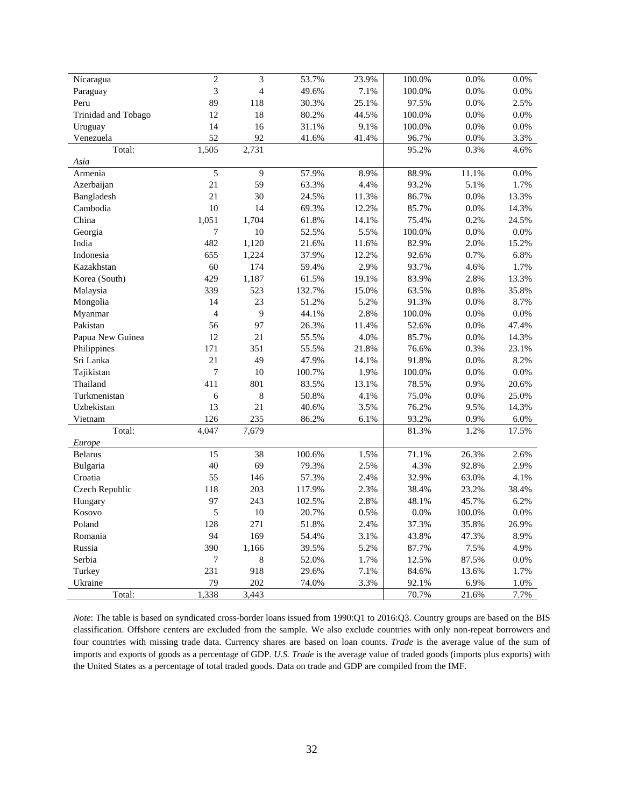| Nicaragua           | $\overline{2}$   | $\overline{\mathbf{3}}$ | 53.7%    | 23.9% | 100.0% | 0.0%   | 0.0%    |
|---------------------|------------------|-------------------------|----------|-------|--------|--------|---------|
| Paraguay            | 3                | $\overline{4}$          | 49.6%    | 7.1%  | 100.0% | 0.0%   | 0.0%    |
| Peru                | 89               | 118                     | 30.3%    | 25.1% | 97.5%  | 0.0%   | 2.5%    |
| Trinidad and Tobago | 12               | 18                      | 80.2%    | 44.5% | 100.0% | 0.0%   | 0.0%    |
| Uruguay             | 14               | 16                      | 31.1%    | 9.1%  | 100.0% | 0.0%   | 0.0%    |
| Venezuela           | 52               | 92                      | 41.6%    | 41.4% | 96.7%  | 0.0%   | 3.3%    |
| Total:              | 1,505            | 2,731                   |          |       | 95.2%  | 0.3%   | 4.6%    |
| Asia                |                  |                         |          |       |        |        |         |
| Armenia             | $\overline{5}$   | $\overline{9}$          | 57.9%    | 8.9%  | 88.9%  | 11.1%  | 0.0%    |
| Azerbaijan          | 21               | 59                      | 63.3%    | 4.4%  | 93.2%  | 5.1%   | 1.7%    |
| Bangladesh          | 21               | 30                      | 24.5%    | 11.3% | 86.7%  | 0.0%   | 13.3%   |
| Cambodia            | 10               | 14                      | 69.3%    | 12.2% | 85.7%  | 0.0%   | 14.3%   |
| China               | 1,051            | 1,704                   | 61.8%    | 14.1% | 75.4%  | 0.2%   | 24.5%   |
| Georgia             | $\boldsymbol{7}$ | 10                      | 52.5%    | 5.5%  | 100.0% | 0.0%   | 0.0%    |
| India               | 482              | 1,120                   | 21.6%    | 11.6% | 82.9%  | 2.0%   | 15.2%   |
| Indonesia           | 655              | 1,224                   | 37.9%    | 12.2% | 92.6%  | 0.7%   | 6.8%    |
| Kazakhstan          | 60               | 174                     | 59.4%    | 2.9%  | 93.7%  | 4.6%   | 1.7%    |
| Korea (South)       | 429              | 1,187                   | 61.5%    | 19.1% | 83.9%  | 2.8%   | 13.3%   |
| Malaysia            | 339              | 523                     | 132.7%   | 15.0% | 63.5%  | 0.8%   | 35.8%   |
| Mongolia            | 14               | 23                      | 51.2%    | 5.2%  | 91.3%  | 0.0%   | 8.7%    |
| Myanmar             | $\overline{4}$   | 9                       | 44.1%    | 2.8%  | 100.0% | 0.0%   | 0.0%    |
| Pakistan            | 56               | 97                      | 26.3%    | 11.4% | 52.6%  | 0.0%   | 47.4%   |
| Papua New Guinea    | 12               | 21                      | 55.5%    | 4.0%  | 85.7%  | 0.0%   | 14.3%   |
| Philippines         | 171              | 351                     | 55.5%    | 21.8% | 76.6%  | 0.3%   | 23.1%   |
| Sri Lanka           | 21               | 49                      | 47.9%    | 14.1% | 91.8%  | 0.0%   | 8.2%    |
| Tajikistan          | $\boldsymbol{7}$ | 10                      | 100.7%   | 1.9%  | 100.0% | 0.0%   | 0.0%    |
| Thailand            | 411              | 801                     | 83.5%    | 13.1% | 78.5%  | 0.9%   | 20.6%   |
| Turkmenistan        | 6                | $\,8\,$                 | 50.8%    | 4.1%  | 75.0%  | 0.0%   | 25.0%   |
| Uzbekistan          | 13               | 21                      | 40.6%    | 3.5%  | 76.2%  | 9.5%   | 14.3%   |
| Vietnam             | 126              | 235                     | 86.2%    | 6.1%  | 93.2%  | 0.9%   | 6.0%    |
| Total:              | 4,047            | 7,679                   |          |       | 81.3%  | 1.2%   | 17.5%   |
| Europe              |                  |                         |          |       |        |        |         |
| <b>Belarus</b>      | 15               | 38                      | 100.6%   | 1.5%  | 71.1%  | 26.3%  | 2.6%    |
| Bulgaria            | 40               | 69                      | 79.3%    | 2.5%  | 4.3%   | 92.8%  | 2.9%    |
| Croatia             | 55               | 146                     | 57.3%    | 2.4%  | 32.9%  | 63.0%  | 4.1%    |
| Czech Republic      | 118              | 203                     | 117.9%   | 2.3%  | 38.4%  | 23.2%  | 38.4%   |
| Hungary             | 97               | 243                     | 102.5%   | 2.8%  | 48.1%  | 45.7%  | 6.2%    |
| Kosovo              | 5                | 10                      | 20.7%    | 0.5%  | 0.0%   | 100.0% | 0.0%    |
| Poland              | 128              | 271                     | $51.8\%$ | 2.4%  | 37.3%  | 35.8%  | 26.9%   |
| Romania             | 94               | 169                     | 54.4%    | 3.1%  | 43.8%  | 47.3%  | 8.9%    |
| Russia              | 390              | 1,166                   | 39.5%    | 5.2%  | 87.7%  | 7.5%   | 4.9%    |
| Serbia              | $\boldsymbol{7}$ | $\,8\,$                 | 52.0%    | 1.7%  | 12.5%  | 87.5%  | $0.0\%$ |
| Turkey              | 231              | 918                     | 29.6%    | 7.1%  | 84.6%  | 13.6%  | 1.7%    |
| Ukraine             | 79               | 202                     | 74.0%    | 3.3%  | 92.1%  | 6.9%   | 1.0%    |
| Total:              | 1,338            | 3,443                   |          |       | 70.7%  | 21.6%  | 7.7%    |

*Note*: The table is based on syndicated cross-border loans issued from 1990:Q1 to 2016:Q3. Country groups are based on the BIS classification. Offshore centers are excluded from the sample. We also exclude countries with only non-repeat borrowers and four countries with missing trade data. Currency shares are based on loan counts. *Trade* is the average value of the sum of imports and exports of goods as a percentage of GDP. *U.S. Trade* is the average value of traded goods (imports plus exports) with the United States as a percentage of total traded goods. Data on trade and GDP are compiled from the IMF.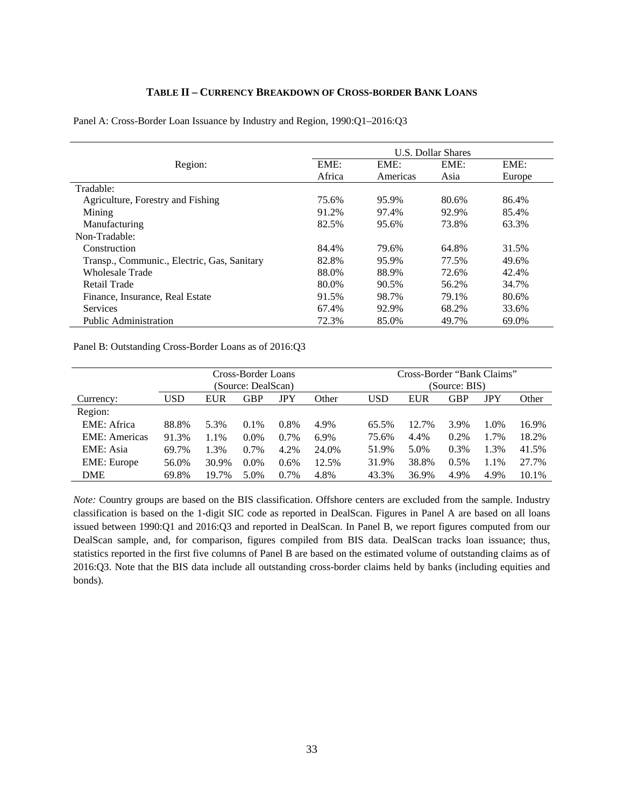#### **TABLE II – CURRENCY BREAKDOWN OF CROSS-BORDER BANK LOANS**

|                                             |        |          | <b>U.S. Dollar Shares</b> |        |
|---------------------------------------------|--------|----------|---------------------------|--------|
| Region:                                     | EME:   | EME:     | EME:                      | EME:   |
|                                             | Africa | Americas | Asia                      | Europe |
| Tradable:                                   |        |          |                           |        |
| Agriculture, Forestry and Fishing           | 75.6%  | 95.9%    | 80.6%                     | 86.4%  |
| Mining                                      | 91.2%  | 97.4%    | 92.9%                     | 85.4%  |
| Manufacturing                               | 82.5%  | 95.6%    | 73.8%                     | 63.3%  |
| Non-Tradable:                               |        |          |                           |        |
| Construction                                | 84.4%  | 79.6%    | 64.8%                     | 31.5%  |
| Transp., Communic., Electric, Gas, Sanitary | 82.8%  | 95.9%    | 77.5%                     | 49.6%  |
| Wholesale Trade                             | 88.0%  | 88.9%    | 72.6%                     | 42.4%  |
| Retail Trade                                | 80.0%  | 90.5%    | 56.2%                     | 34.7%  |
| Finance, Insurance, Real Estate             | 91.5%  | 98.7%    | 79.1%                     | 80.6%  |
| <b>Services</b>                             | 67.4%  | 92.9%    | 68.2%                     | 33.6%  |
| <b>Public Administration</b>                | 72.3%  | 85.0%    | 49.7%                     | 69.0%  |

Panel A: Cross-Border Loan Issuance by Industry and Region, 1990:Q1–2016:Q3

Panel B: Outstanding Cross-Border Loans as of 2016:Q3

|                       |            | Cross-Border Loans<br>(Source: DealScan) |            |            |       |            | Cross-Border "Bank Claims"<br>(Source: BIS) |            |      |       |  |
|-----------------------|------------|------------------------------------------|------------|------------|-------|------------|---------------------------------------------|------------|------|-------|--|
| Currency:             | <b>USD</b> | <b>EUR</b>                               | <b>GBP</b> | <b>JPY</b> | Other | <b>USD</b> | <b>EUR</b>                                  | <b>GBP</b> | JPY  | Other |  |
| Region:               |            |                                          |            |            |       |            |                                             |            |      |       |  |
| <b>EME</b> : Africa   | 88.8%      | 5.3%                                     | $0.1\%$    | $0.8\%$    | 4.9%  | 65.5%      | 12.7%                                       | 3.9%       | 1.0% | 16.9% |  |
| <b>EME</b> : Americas | 91.3%      | 1.1%                                     | $0.0\%$    | $0.7\%$    | 6.9%  | 75.6%      | 4.4%                                        | $0.2\%$    | 1.7% | 18.2% |  |
| EME: Asia             | 69.7%      | 1.3%                                     | $0.7\%$    | 4.2%       | 24.0% | 51.9%      | 5.0%                                        | 0.3%       | 1.3% | 41.5% |  |
| <b>EME</b> : Europe   | 56.0%      | 30.9%                                    | $0.0\%$    | $0.6\%$    | 12.5% | 31.9%      | 38.8%                                       | 0.5%       | 1.1% | 27.7% |  |
| <b>DME</b>            | 69.8%      | 19.7%                                    | 5.0%       | $0.7\%$    | 4.8%  | 43.3%      | 36.9%                                       | 4.9%       | 4.9% | 10.1% |  |

*Note:* Country groups are based on the BIS classification. Offshore centers are excluded from the sample. Industry classification is based on the 1-digit SIC code as reported in DealScan. Figures in Panel A are based on all loans issued between 1990:Q1 and 2016:Q3 and reported in DealScan. In Panel B, we report figures computed from our DealScan sample, and, for comparison, figures compiled from BIS data. DealScan tracks loan issuance; thus, statistics reported in the first five columns of Panel B are based on the estimated volume of outstanding claims as of 2016:Q3. Note that the BIS data include all outstanding cross-border claims held by banks (including equities and bonds).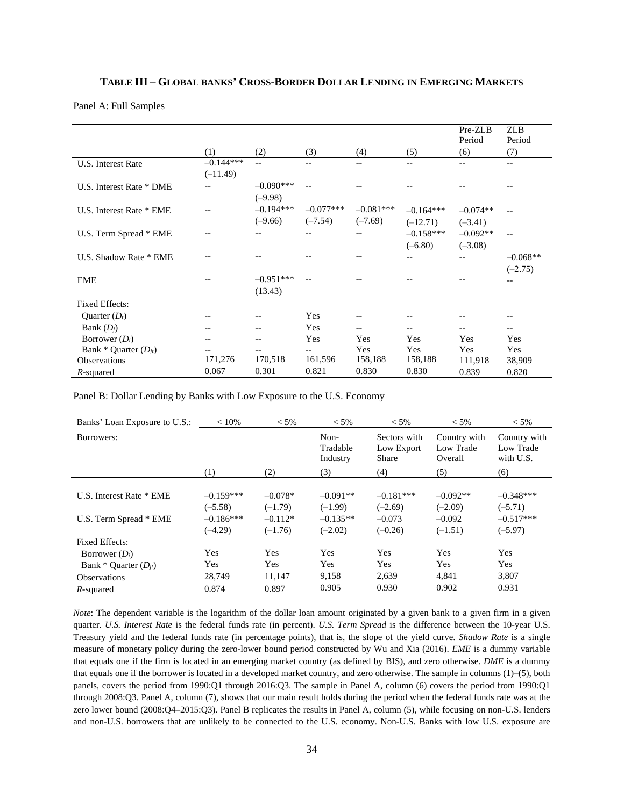#### **TABLE III – GLOBAL BANKS' CROSS-BORDER DOLLAR LENDING IN EMERGING MARKETS**

Panel A: Full Samples

|                           |                           |                          |                          |                          |                           | Pre-ZLB<br>Period       | <b>ZLB</b><br>Period |
|---------------------------|---------------------------|--------------------------|--------------------------|--------------------------|---------------------------|-------------------------|----------------------|
|                           | (1)                       | (2)                      | (3)                      | (4)                      | (5)                       | (6)                     | (7)                  |
| U.S. Interest Rate        | $-0.144***$<br>$(-11.49)$ | $- -$                    | --                       | $-$                      | --                        | --                      | $- -$                |
| U.S. Interest Rate * DME  |                           | $-0.090***$<br>$(-9.98)$ |                          |                          |                           |                         |                      |
| U.S. Interest Rate * EME  |                           | $-0.194***$<br>$(-9.66)$ | $-0.077***$<br>$(-7.54)$ | $-0.081***$<br>$(-7.69)$ | $-0.164***$<br>$(-12.71)$ | $-0.074**$<br>$(-3.41)$ |                      |
| U.S. Term Spread * EME    |                           |                          |                          | $\qquad \qquad -$        | $-0.158***$<br>$(-6.80)$  | $-0.092**$<br>$(-3.08)$ | $-$                  |
| U.S. Shadow Rate * EME    |                           |                          |                          |                          | --                        |                         | $-0.068**$           |
| <b>EME</b>                |                           | $-0.951***$<br>(13.43)   |                          |                          |                           |                         | $(-2.75)$            |
| <b>Fixed Effects:</b>     |                           |                          |                          |                          |                           |                         |                      |
| Quarter $(D_t)$           | --                        |                          | Yes                      |                          |                           |                         |                      |
| Bank $(D_i)$              |                           |                          | Yes                      | $-$                      | --                        |                         |                      |
| Borrower $(D_i)$          |                           |                          | Yes                      | Yes                      | Yes                       | Yes                     | Yes                  |
| Bank * Quarter $(D_{it})$ |                           |                          | $-$                      | Yes                      | Yes                       | Yes                     | Yes                  |
| <b>Observations</b>       | 171,276                   | 170,518                  | 161,596                  | 158,188                  | 158,188                   | 111,918                 | 38,909               |
| R-squared                 | 0.067                     | 0.301                    | 0.821                    | 0.830                    | 0.830                     | 0.839                   | 0.820                |

Panel B: Dollar Lending by Banks with Low Exposure to the U.S. Economy

| Banks' Loan Exposure to U.S.: | $< 10\%$    | $< 5\%$   | $< 5\%$                      | $< 5\%$                                    | $< 5\%$                              | $< 5\%$                                |
|-------------------------------|-------------|-----------|------------------------------|--------------------------------------------|--------------------------------------|----------------------------------------|
| Borrowers:                    |             |           | Non-<br>Tradable<br>Industry | Sectors with<br>Low Export<br><b>Share</b> | Country with<br>Low Trade<br>Overall | Country with<br>Low Trade<br>with U.S. |
|                               | (1)         | (2)       | (3)                          | (4)                                        | (5)                                  | (6)                                    |
|                               |             |           |                              |                                            |                                      |                                        |
| U.S. Interest Rate * EME      | $-0.159***$ | $-0.078*$ | $-0.091**$                   | $-0.181***$                                | $-0.092**$                           | $-0.348***$                            |
|                               | $(-5.58)$   | $(-1.79)$ | $(-1.99)$                    | $(-2.69)$                                  | $(-2.09)$                            | $(-5.71)$                              |
| U.S. Term Spread * EME        | $-0.186***$ | $-0.112*$ | $-0.135**$                   | $-0.073$                                   | $-0.092$                             | $-0.517***$                            |
|                               | $(-4.29)$   | $(-1.76)$ | $(-2.02)$                    | $(-0.26)$                                  | $(-1.51)$                            | $(-5.97)$                              |
| Fixed Effects:                |             |           |                              |                                            |                                      |                                        |
| Borrower $(D_i)$              | Yes         | Yes       | Yes                          | Yes                                        | Yes                                  | Yes                                    |
| Bank * Quarter $(D_{it})$     | Yes         | Yes       | Yes                          | Yes                                        | Yes                                  | Yes                                    |
| <b>Observations</b>           | 28,749      | 11,147    | 9,158                        | 2,639                                      | 4,841                                | 3,807                                  |
| R-squared                     | 0.874       | 0.897     | 0.905                        | 0.930                                      | 0.902                                | 0.931                                  |

*Note*: The dependent variable is the logarithm of the dollar loan amount originated by a given bank to a given firm in a given quarter. *U.S. Interest Rate* is the federal funds rate (in percent). *U.S. Term Spread* is the difference between the 10-year U.S. Treasury yield and the federal funds rate (in percentage points), that is, the slope of the yield curve. *Shadow Rate* is a single measure of monetary policy during the zero-lower bound period constructed by Wu and Xia (2016). *EME* is a dummy variable that equals one if the firm is located in an emerging market country (as defined by BIS), and zero otherwise. *DME* is a dummy that equals one if the borrower is located in a developed market country, and zero otherwise. The sample in columns (1)–(5), both panels, covers the period from 1990:Q1 through 2016:Q3. The sample in Panel A, column (6) covers the period from 1990:Q1 through 2008:Q3. Panel A, column (7), shows that our main result holds during the period when the federal funds rate was at the zero lower bound (2008:Q4–2015:Q3). Panel B replicates the results in Panel A, column (5), while focusing on non-U.S. lenders and non-U.S. borrowers that are unlikely to be connected to the U.S. economy. Non-U.S. Banks with low U.S. exposure are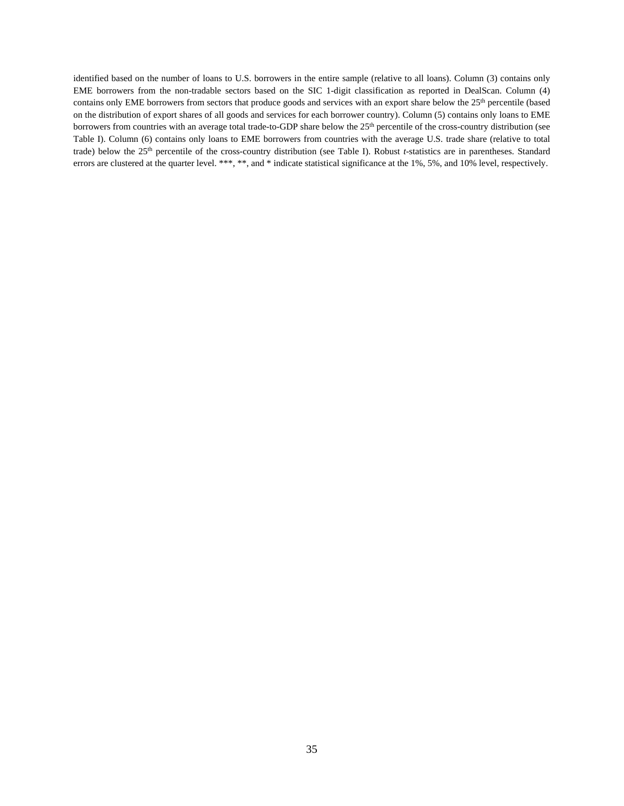identified based on the number of loans to U.S. borrowers in the entire sample (relative to all loans). Column (3) contains only EME borrowers from the non-tradable sectors based on the SIC 1-digit classification as reported in DealScan. Column (4) contains only EME borrowers from sectors that produce goods and services with an export share below the 25<sup>th</sup> percentile (based on the distribution of export shares of all goods and services for each borrower country). Column (5) contains only loans to EME borrowers from countries with an average total trade-to-GDP share below the 25<sup>th</sup> percentile of the cross-country distribution (see Table I). Column (6) contains only loans to EME borrowers from countries with the average U.S. trade share (relative to total trade) below the 25th percentile of the cross-country distribution (see Table I). Robust *t*-statistics are in parentheses. Standard errors are clustered at the quarter level. \*\*\*, \*\*, and \* indicate statistical significance at the 1%, 5%, and 10% level, respectively.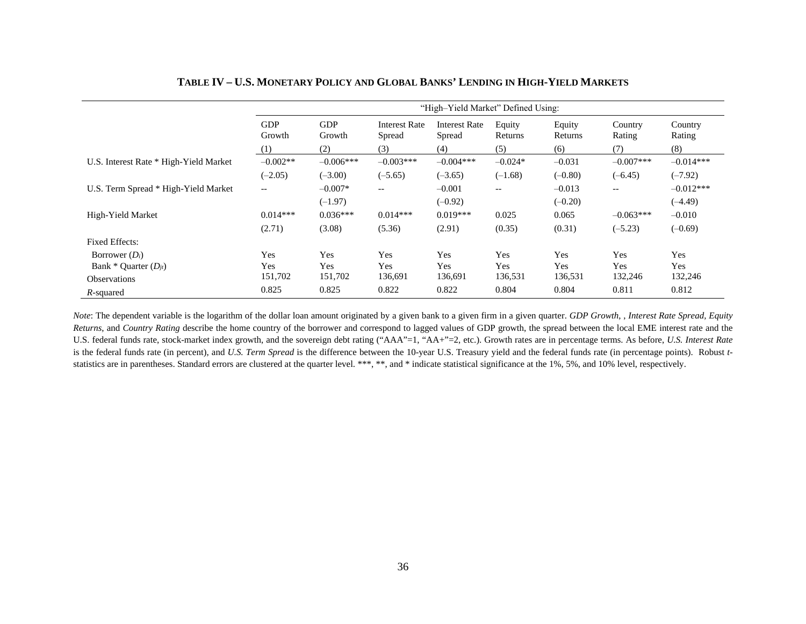|                                        |                      |                      |                                | "High-Yield Market" Defined Using: |                                                       |                   |                   |                   |
|----------------------------------------|----------------------|----------------------|--------------------------------|------------------------------------|-------------------------------------------------------|-------------------|-------------------|-------------------|
|                                        | <b>GDP</b><br>Growth | <b>GDP</b><br>Growth | <b>Interest Rate</b><br>Spread | <b>Interest Rate</b><br>Spread     | Equity<br>Returns                                     | Equity<br>Returns | Country<br>Rating | Country<br>Rating |
|                                        | (1)                  | (2)                  | (3)                            | (4)                                | (5)                                                   | (6)               | (7)               | (8)               |
| U.S. Interest Rate * High-Yield Market | $-0.002**$           | $-0.006***$          | $-0.003***$                    | $-0.004***$                        | $-0.024*$                                             | $-0.031$          | $-0.007***$       | $-0.014***$       |
|                                        | $(-2.05)$            | $(-3.00)$            | $(-5.65)$                      | $(-3.65)$                          | $(-1.68)$                                             | $(-0.80)$         | $(-6.45)$         | $(-7.92)$         |
| U.S. Term Spread * High-Yield Market   | $- -$                | $-0.007*$            | $- -$                          | $-0.001$                           | $\hspace{0.05cm} - \hspace{0.05cm} - \hspace{0.05cm}$ | $-0.013$          | $- -$             | $-0.012***$       |
|                                        |                      | $(-1.97)$            |                                | $(-0.92)$                          |                                                       | $(-0.20)$         |                   | $(-4.49)$         |
| High-Yield Market                      | $0.014***$           | $0.036***$           | $0.014***$                     | $0.019***$                         | 0.025                                                 | 0.065             | $-0.063***$       | $-0.010$          |
|                                        | (2.71)               | (3.08)               | (5.36)                         | (2.91)                             | (0.35)                                                | (0.31)            | $(-5.23)$         | $(-0.69)$         |
| <b>Fixed Effects:</b>                  |                      |                      |                                |                                    |                                                       |                   |                   |                   |
| Borrower $(D_i)$                       | Yes                  | Yes                  | Yes                            | Yes                                | Yes                                                   | Yes               | Yes               | Yes               |
| Bank * Quarter $(D_{it})$              | Yes                  | Yes                  | Yes                            | Yes                                | Yes                                                   | Yes               | Yes               | Yes               |
| <b>Observations</b>                    | 151,702              | 151,702              | 136,691                        | 136,691                            | 136,531                                               | 136,531           | 132,246           | 132,246           |
| R-squared                              | 0.825                | 0.825                | 0.822                          | 0.822                              | 0.804                                                 | 0.804             | 0.811             | 0.812             |

### **TABLE IV – U.S. MONETARY POLICY AND GLOBAL BANKS' LENDING IN HIGH-YIELD MARKETS**

*Note*: The dependent variable is the logarithm of the dollar loan amount originated by a given bank to a given firm in a given quarter. *GDP Growth*, , *Interest Rate Spread, Equity Returns*, and *Country Rating* describe the home country of the borrower and correspond to lagged values of GDP growth, the spread between the local EME interest rate and the U.S. federal funds rate, stock-market index growth, and the sovereign debt rating ("AAA"=1, "AA+"=2, etc.). Growth rates are in percentage terms. As before, *U.S. Interest Rate* is the federal funds rate (in percent), and *U.S. Term Spread* is the difference between the 10-year U.S. Treasury yield and the federal funds rate (in percentage points). Robust *t*statistics are in parentheses. Standard errors are clustered at the quarter level. \*\*\*, \*\*, and \* indicate statistical significance at the 1%, 5%, and 10% level, respectively.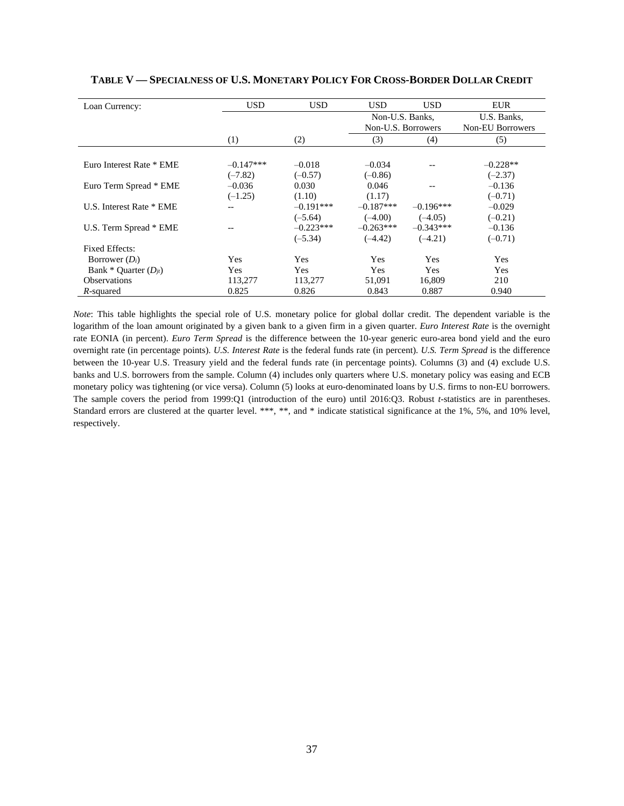| Loan Currency:            | <b>USD</b>  | <b>USD</b>  | <b>USD</b>         | <b>USD</b>  | <b>EUR</b>              |
|---------------------------|-------------|-------------|--------------------|-------------|-------------------------|
|                           |             |             | Non-U.S. Banks,    |             | U.S. Banks,             |
|                           |             |             | Non-U.S. Borrowers |             | <b>Non-EU Borrowers</b> |
|                           | (1)         | (2)         | (3)                | (4)         | (5)                     |
|                           |             |             |                    |             |                         |
| Euro Interest Rate * EME  | $-0.147***$ | $-0.018$    | $-0.034$           |             | $-0.228**$              |
|                           | $(-7.82)$   | $(-0.57)$   | $(-0.86)$          |             | $(-2.37)$               |
| Euro Term Spread * EME    | $-0.036$    | 0.030       | 0.046              |             | $-0.136$                |
|                           | $(-1.25)$   | (1.10)      | (1.17)             |             | $(-0.71)$               |
| U.S. Interest Rate * EME  | --          | $-0.191***$ | $-0.187***$        | $-0.196***$ | $-0.029$                |
|                           |             | $(-5.64)$   | $(-4.00)$          | $(-4.05)$   | $(-0.21)$               |
| U.S. Term Spread * EME    |             | $-0.223***$ | $-0.263***$        | $-0.343***$ | $-0.136$                |
|                           |             | $(-5.34)$   | $(-4.42)$          | $(-4.21)$   | $(-0.71)$               |
| Fixed Effects:            |             |             |                    |             |                         |
| Borrower $(D_i)$          | Yes         | <b>Yes</b>  | <b>Yes</b>         | <b>Yes</b>  | Yes                     |
| Bank * Quarter $(D_{it})$ | Yes         | Yes         | Yes                | Yes         | Yes                     |
| <b>Observations</b>       | 113,277     | 113,277     | 51.091             | 16,809      | 210                     |
| R-squared                 | 0.825       | 0.826       | 0.843              | 0.887       | 0.940                   |

**TABLE V — SPECIALNESS OF U.S. MONETARY POLICY FOR CROSS-BORDER DOLLAR CREDIT**

*Note*: This table highlights the special role of U.S. monetary police for global dollar credit. The dependent variable is the logarithm of the loan amount originated by a given bank to a given firm in a given quarter. *Euro Interest Rate* is the overnight rate EONIA (in percent). *Euro Term Spread* is the difference between the 10-year generic euro-area bond yield and the euro overnight rate (in percentage points). *U.S. Interest Rate* is the federal funds rate (in percent). *U.S. Term Spread* is the difference between the 10-year U.S. Treasury yield and the federal funds rate (in percentage points). Columns (3) and (4) exclude U.S. banks and U.S. borrowers from the sample. Column (4) includes only quarters where U.S. monetary policy was easing and ECB monetary policy was tightening (or vice versa). Column (5) looks at euro-denominated loans by U.S. firms to non-EU borrowers. The sample covers the period from 1999:Q1 (introduction of the euro) until 2016:Q3. Robust *t*-statistics are in parentheses. Standard errors are clustered at the quarter level. \*\*\*, \*\*, and \* indicate statistical significance at the 1%, 5%, and 10% level, respectively.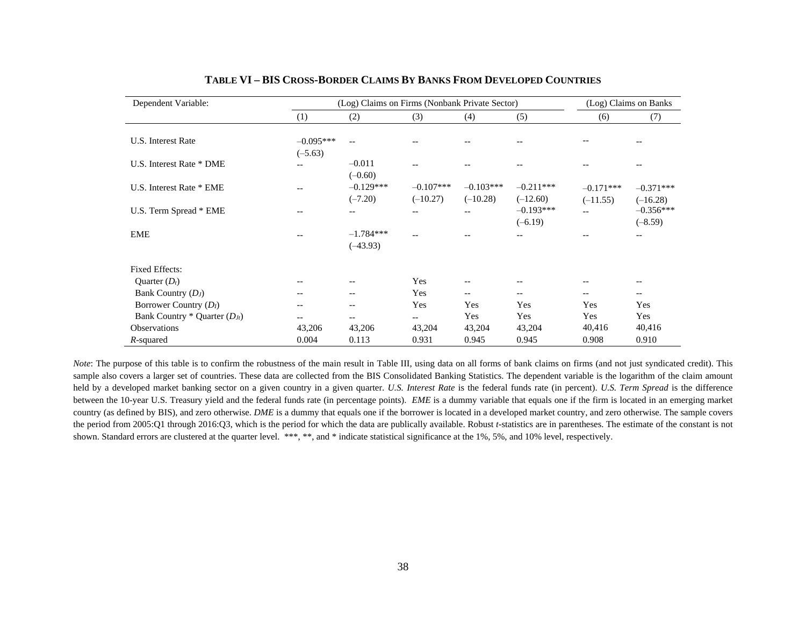| Dependent Variable:                |             | (Log) Claims on Firms (Nonbank Private Sector) |                   |             |             |             | (Log) Claims on Banks |  |
|------------------------------------|-------------|------------------------------------------------|-------------------|-------------|-------------|-------------|-----------------------|--|
|                                    | (1)         | (2)                                            | (3)               | (4)         | (5)         | (6)         | (7)                   |  |
|                                    |             |                                                |                   |             |             |             |                       |  |
| U.S. Interest Rate                 | $-0.095***$ |                                                |                   |             |             |             |                       |  |
|                                    | $(-5.63)$   |                                                |                   |             |             |             |                       |  |
| U.S. Interest Rate * DME           |             | $-0.011$                                       | $-$               |             |             |             | --                    |  |
|                                    |             | $(-0.60)$                                      |                   |             |             |             |                       |  |
| U.S. Interest Rate * EME           |             | $-0.129***$                                    | $-0.107***$       | $-0.103***$ | $-0.211***$ | $-0.171***$ | $-0.371***$           |  |
|                                    |             | $(-7.20)$                                      | $(-10.27)$        | $(-10.28)$  | $(-12.60)$  | $(-11.55)$  | $(-16.28)$            |  |
| U.S. Term Spread * EME             |             | $-$                                            |                   |             | $-0.193***$ | $-$         | $-0.356***$           |  |
|                                    |             |                                                |                   |             | $(-6.19)$   |             | $(-8.59)$             |  |
| <b>EME</b>                         |             | $-1.784***$                                    | $-$               |             | $- -$       |             | --                    |  |
|                                    |             | $(-43.93)$                                     |                   |             |             |             |                       |  |
| <b>Fixed Effects:</b>              |             |                                                |                   |             |             |             |                       |  |
| Quarter $(D_t)$                    |             |                                                | Yes               | $-$         | $-$         |             | --                    |  |
| Bank Country (D <sub>J</sub> )     |             | $-\,-$                                         | Yes               | $- -$       | $- -$       | $- -$       | $-\,-$                |  |
| Borrower Country (D <sub>I</sub> ) | $- -$       | $- -$                                          | Yes               | Yes         | Yes         | Yes         | Yes                   |  |
| Bank Country * Quarter $(D_{Jt})$  |             | $- -$                                          | $\qquad \qquad -$ | Yes         | Yes         | Yes         | Yes                   |  |
| Observations                       | 43,206      | 43,206                                         | 43,204            | 43,204      | 43,204      | 40,416      | 40,416                |  |
| R-squared                          | 0.004       | 0.113                                          | 0.931             | 0.945       | 0.945       | 0.908       | 0.910                 |  |

#### **TABLE VI – BIS CROSS-BORDER CLAIMS BY BANKS FROM DEVELOPED COUNTRIES**

*Note*: The purpose of this table is to confirm the robustness of the main result in Table III, using data on all forms of bank claims on firms (and not just syndicated credit). This sample also covers a larger set of countries. These data are collected from the BIS Consolidated Banking Statistics. The dependent variable is the logarithm of the claim amount held by a developed market banking sector on a given country in a given quarter. *U.S. Interest Rate* is the federal funds rate (in percent). *U.S. Term Spread* is the difference between the 10-year U.S. Treasury yield and the federal funds rate (in percentage points). *EME* is a dummy variable that equals one if the firm is located in an emerging market country (as defined by BIS), and zero otherwise. *DME* is a dummy that equals one if the borrower is located in a developed market country, and zero otherwise. The sample covers the period from 2005:Q1 through 2016:Q3, which is the period for which the data are publically available. Robust *t*-statistics are in parentheses. The estimate of the constant is not shown. Standard errors are clustered at the quarter level. \*\*\*, \*\*, and \* indicate statistical significance at the 1%, 5%, and 10% level, respectively.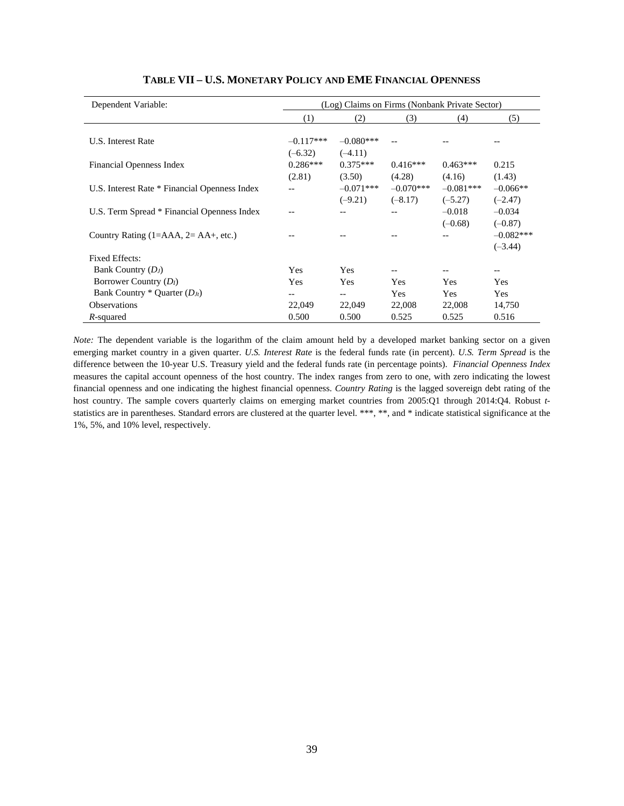| Dependent Variable:                           |             |             |             | (Log) Claims on Firms (Nonbank Private Sector) |             |
|-----------------------------------------------|-------------|-------------|-------------|------------------------------------------------|-------------|
|                                               | (1)         | (2)         | (3)         | (4)                                            | (5)         |
|                                               |             |             |             |                                                |             |
| U.S. Interest Rate                            | $-0.117***$ | $-0.080***$ |             |                                                |             |
|                                               | $(-6.32)$   | $(-4.11)$   |             |                                                |             |
| Financial Openness Index                      | $0.286***$  | $0.375***$  | $0.416***$  | $0.463***$                                     | 0.215       |
|                                               | (2.81)      | (3.50)      | (4.28)      | (4.16)                                         | (1.43)      |
| U.S. Interest Rate * Financial Openness Index |             | $-0.071***$ | $-0.070***$ | $-0.081***$                                    | $-0.066**$  |
|                                               |             | $(-9.21)$   | $(-8.17)$   | $(-5.27)$                                      | $(-2.47)$   |
| U.S. Term Spread * Financial Openness Index   |             |             |             | $-0.018$                                       | $-0.034$    |
|                                               |             |             |             | $(-0.68)$                                      | $(-0.87)$   |
| Country Rating $(1=AAA, 2=AA+, etc.)$         |             | --          |             |                                                | $-0.082***$ |
|                                               |             |             |             |                                                | $(-3.44)$   |
| Fixed Effects:                                |             |             |             |                                                |             |
| Bank Country $(D_J)$                          | Yes         | <b>Yes</b>  |             |                                                | --          |
| Borrower Country $(D_l)$                      | Yes         | Yes         | <b>Yes</b>  | <b>Yes</b>                                     | Yes         |
| Bank Country * Quarter $(D_{Jt})$             | --          | --          | Yes         | Yes                                            | Yes         |
| <b>Observations</b>                           | 22,049      | 22,049      | 22,008      | 22,008                                         | 14,750      |
| R-squared                                     | 0.500       | 0.500       | 0.525       | 0.525                                          | 0.516       |

#### **TABLE VII – U.S. MONETARY POLICY AND EME FINANCIAL OPENNESS**

*Note:* The dependent variable is the logarithm of the claim amount held by a developed market banking sector on a given emerging market country in a given quarter. *U.S. Interest Rate* is the federal funds rate (in percent). *U.S. Term Spread* is the difference between the 10-year U.S. Treasury yield and the federal funds rate (in percentage points). *Financial Openness Index* measures the capital account openness of the host country. The index ranges from zero to one, with zero indicating the lowest financial openness and one indicating the highest financial openness. *Country Rating* is the lagged sovereign debt rating of the host country. The sample covers quarterly claims on emerging market countries from 2005:Q1 through 2014:Q4. Robust *t*statistics are in parentheses. Standard errors are clustered at the quarter level. \*\*\*, \*\*, and \* indicate statistical significance at the 1%, 5%, and 10% level, respectively.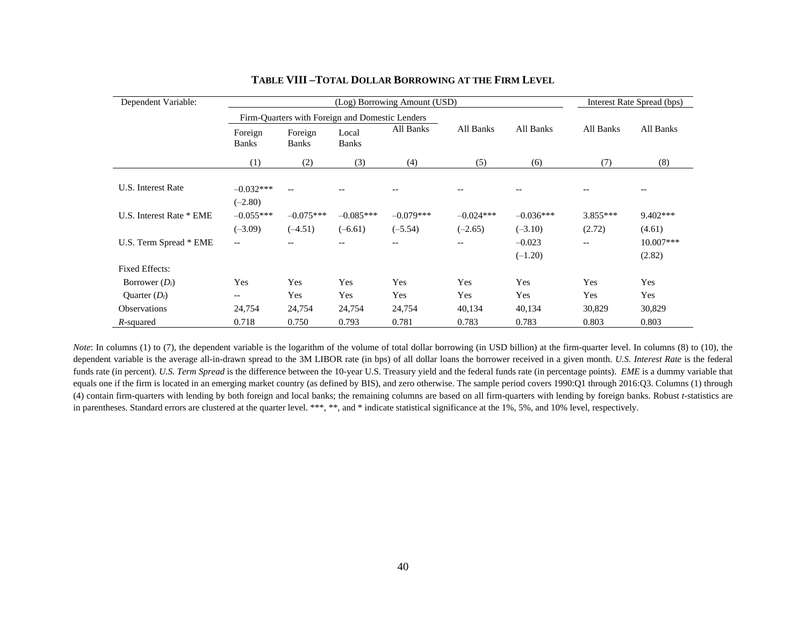| Dependent Variable:       |                          |                         |                                                 | (Log) Borrowing Amount (USD) |             |             |            | Interest Rate Spread (bps) |
|---------------------------|--------------------------|-------------------------|-------------------------------------------------|------------------------------|-------------|-------------|------------|----------------------------|
|                           |                          |                         | Firm-Quarters with Foreign and Domestic Lenders |                              |             |             |            |                            |
|                           | Foreign<br><b>Banks</b>  | Foreign<br><b>Banks</b> | Local<br><b>Banks</b>                           | All Banks                    | All Banks   | All Banks   | All Banks  | All Banks                  |
|                           | (1)                      | (2)                     | (3)                                             | (4)                          | (5)         | (6)         | (7)        | (8)                        |
| <b>U.S.</b> Interest Rate | $-0.032***$<br>$(-2.80)$ | $- -$                   |                                                 |                              |             | $- -$       | --         | $\qquad \qquad -$          |
| U.S. Interest Rate * EME  | $-0.055***$              | $-0.075***$             | $-0.085***$                                     | $-0.079***$                  | $-0.024***$ | $-0.036***$ | $3.855***$ | $9.402***$                 |
|                           | $(-3.09)$                | $(-4.51)$               | $(-6.61)$                                       | $(-5.54)$                    | $(-2.65)$   | $(-3.10)$   | (2.72)     | (4.61)                     |
| U.S. Term Spread * EME    | $- -$                    |                         |                                                 |                              |             | $-0.023$    | $- -$      | $10.007***$                |
|                           |                          |                         |                                                 |                              |             | $(-1.20)$   |            | (2.82)                     |
| Fixed Effects:            |                          |                         |                                                 |                              |             |             |            |                            |
| Borrower $(D_i)$          | Yes                      | Yes                     | Yes                                             | Yes                          | Yes         | Yes         | Yes        | Yes                        |
| Quarter $(D_t)$           | $- -$                    | Yes                     | Yes                                             | Yes                          | Yes         | Yes         | Yes        | Yes                        |
| <b>Observations</b>       | 24,754                   | 24,754                  | 24,754                                          | 24,754                       | 40,134      | 40,134      | 30,829     | 30,829                     |
| R-squared                 | 0.718                    | 0.750                   | 0.793                                           | 0.781                        | 0.783       | 0.783       | 0.803      | 0.803                      |

### **TABLE VIII –TOTAL DOLLAR BORROWING AT THE FIRM LEVEL**

*Note*: In columns (1) to (7), the dependent variable is the logarithm of the volume of total dollar borrowing (in USD billion) at the firm-quarter level. In columns (8) to (10), the dependent variable is the average all-in-drawn spread to the 3M LIBOR rate (in bps) of all dollar loans the borrower received in a given month. *U.S. Interest Rate* is the federal funds rate (in percent). *U.S. Term Spread* is the difference between the 10-year U.S. Treasury yield and the federal funds rate (in percentage points). *EME* is a dummy variable that equals one if the firm is located in an emerging market country (as defined by BIS), and zero otherwise. The sample period covers 1990:Q1 through 2016:Q3. Columns (1) through (4) contain firm-quarters with lending by both foreign and local banks; the remaining columns are based on all firm-quarters with lending by foreign banks. Robust *t*-statistics are in parentheses. Standard errors are clustered at the quarter level. \*\*\*, \*\*, and \* indicate statistical significance at the 1%, 5%, and 10% level, respectively.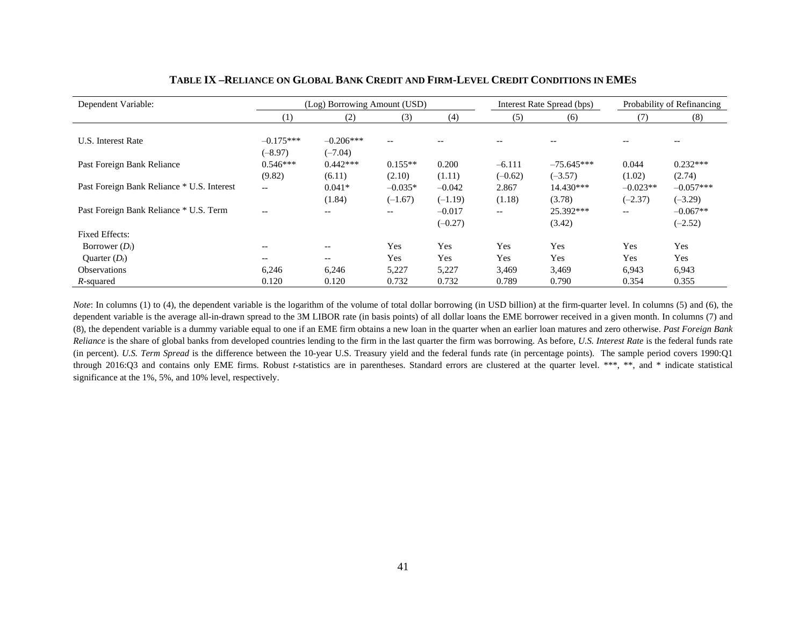| Dependent Variable:                        |             | (Log) Borrowing Amount (USD) |                                                     |           |           | Interest Rate Spread (bps) | Probability of Refinancing |             |
|--------------------------------------------|-------------|------------------------------|-----------------------------------------------------|-----------|-----------|----------------------------|----------------------------|-------------|
|                                            | (1)         | (2)                          | (3)                                                 | (4)       | (5)       | (6)                        | (7)                        | (8)         |
|                                            |             |                              |                                                     |           |           |                            |                            |             |
| U.S. Interest Rate                         | $-0.175***$ | $-0.206***$                  | $\overline{\phantom{a}}$                            |           |           |                            |                            |             |
|                                            | $(-8.97)$   | $(-7.04)$                    |                                                     |           |           |                            |                            |             |
| Past Foreign Bank Reliance                 | $0.546***$  | $0.442***$                   | $0.155**$                                           | 0.200     | $-6.111$  | $-75.645***$               | 0.044                      | $0.232***$  |
|                                            | (9.82)      | (6.11)                       | (2.10)                                              | (1.11)    | $(-0.62)$ | $(-3.57)$                  | (1.02)                     | (2.74)      |
| Past Foreign Bank Reliance * U.S. Interest | $- -$       | $0.041*$                     | $-0.035*$                                           | $-0.042$  | 2.867     | 14.430***                  | $-0.023**$                 | $-0.057***$ |
|                                            |             | (1.84)                       | $(-1.67)$                                           | $(-1.19)$ | (1.18)    | (3.78)                     | $(-2.37)$                  | $(-3.29)$   |
| Past Foreign Bank Reliance * U.S. Term     | $- -$       | --                           | $\hspace{0.05cm} -\hspace{0.05cm} -\hspace{0.05cm}$ | $-0.017$  | $- -$     | 25.392***                  | $--$                       | $-0.067**$  |
|                                            |             |                              |                                                     | $(-0.27)$ |           | (3.42)                     |                            | $(-2.52)$   |
| <b>Fixed Effects:</b>                      |             |                              |                                                     |           |           |                            |                            |             |
| Borrower $(D_i)$                           | $- -$       | $- -$                        | Yes                                                 | Yes       | Yes       | Yes                        | Yes                        | Yes         |
| Ouarter $(D_t)$                            | --          | --                           | Yes                                                 | Yes       | Yes       | Yes                        | Yes                        | Yes         |
| <b>Observations</b>                        | 6,246       | 6,246                        | 5,227                                               | 5,227     | 3,469     | 3,469                      | 6,943                      | 6,943       |
| R-squared                                  | 0.120       | 0.120                        | 0.732                                               | 0.732     | 0.789     | 0.790                      | 0.354                      | 0.355       |

### **TABLE IX –RELIANCE ON GLOBAL BANK CREDIT AND FIRM-LEVEL CREDIT CONDITIONS IN EMES**

*Note*: In columns (1) to (4), the dependent variable is the logarithm of the volume of total dollar borrowing (in USD billion) at the firm-quarter level. In columns (5) and (6), the dependent variable is the average all-in-drawn spread to the 3M LIBOR rate (in basis points) of all dollar loans the EME borrower received in a given month. In columns (7) and (8), the dependent variable is a dummy variable equal to one if an EME firm obtains a new loan in the quarter when an earlier loan matures and zero otherwise. *Past Foreign Bank Reliance* is the share of global banks from developed countries lending to the firm in the last quarter the firm was borrowing. As before, *U.S. Interest Rate* is the federal funds rate (in percent). *U.S. Term Spread* is the difference between the 10-year U.S. Treasury yield and the federal funds rate (in percentage points). The sample period covers 1990:Q1 through 2016:Q3 and contains only EME firms. Robust *t*-statistics are in parentheses. Standard errors are clustered at the quarter level. \*\*\*, \*\*, and \* indicate statistical significance at the 1%, 5%, and 10% level, respectively.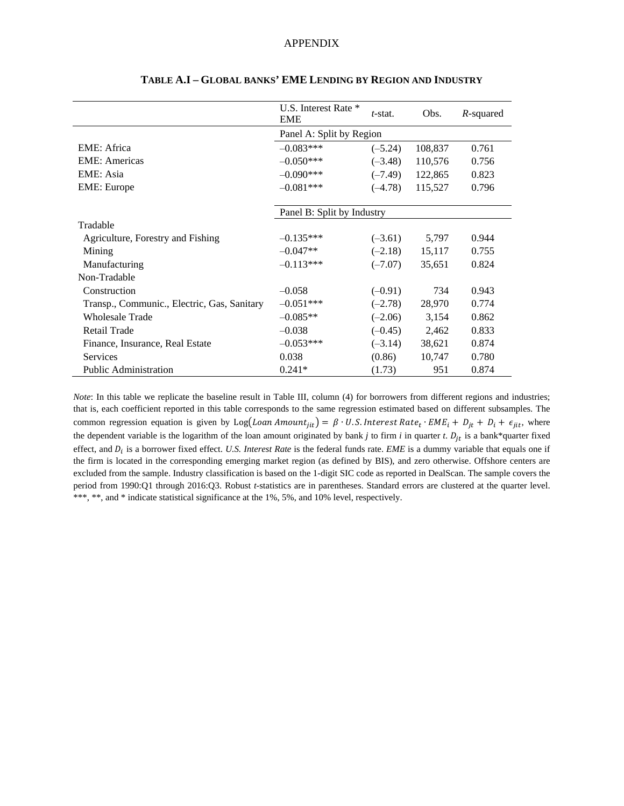|                                             | U.S. Interest Rate *<br><b>EME</b> | t-stat.   | Obs.    | R-squared |  |  |
|---------------------------------------------|------------------------------------|-----------|---------|-----------|--|--|
|                                             | Panel A: Split by Region           |           |         |           |  |  |
| <b>EME</b> : Africa                         | $-0.083***$                        | $(-5.24)$ | 108,837 | 0.761     |  |  |
| <b>EME</b> : Americas                       | $-0.050***$                        | $(-3.48)$ | 110,576 | 0.756     |  |  |
| EME: Asia                                   | $-0.090***$                        | $(-7.49)$ | 122,865 | 0.823     |  |  |
| <b>EME</b> : Europe                         | $-0.081***$                        | $(-4.78)$ | 115,527 | 0.796     |  |  |
|                                             |                                    |           |         |           |  |  |
|                                             | Panel B: Split by Industry         |           |         |           |  |  |
| Tradable                                    |                                    |           |         |           |  |  |
| Agriculture, Forestry and Fishing           | $-0.135***$                        | $(-3.61)$ | 5,797   | 0.944     |  |  |
| Mining                                      | $-0.047**$                         | $(-2.18)$ | 15,117  | 0.755     |  |  |
| Manufacturing                               | $-0.113***$                        | $(-7.07)$ | 35,651  | 0.824     |  |  |
| Non-Tradable                                |                                    |           |         |           |  |  |
| Construction                                | $-0.058$                           | $(-0.91)$ | 734     | 0.943     |  |  |
| Transp., Communic., Electric, Gas, Sanitary | $-0.051***$                        | $(-2.78)$ | 28,970  | 0.774     |  |  |
| <b>Wholesale Trade</b>                      | $-0.085**$                         | $(-2.06)$ | 3,154   | 0.862     |  |  |
| Retail Trade                                | $-0.038$                           | $(-0.45)$ | 2,462   | 0.833     |  |  |
| Finance, Insurance, Real Estate             | $-0.053***$                        | $(-3.14)$ | 38,621  | 0.874     |  |  |
| Services                                    | 0.038                              | (0.86)    | 10,747  | 0.780     |  |  |
| <b>Public Administration</b>                | $0.241*$                           | (1.73)    | 951     | 0.874     |  |  |

### **TABLE A.I – GLOBAL BANKS' EME LENDING BY REGION AND INDUSTRY**

*Note*: In this table we replicate the baseline result in Table III, column (4) for borrowers from different regions and industries; that is, each coefficient reported in this table corresponds to the same regression estimated based on different subsamples. The common regression equation is given by Log(Loan Amount<sub>jit</sub>) =  $\beta \cdot U.S.$  Interest Rate<sub>t</sub>  $\cdot$  EME<sub>i</sub> +  $D_{jt}$  +  $D_i$  +  $\epsilon_{jit}$ , where the dependent variable is the logarithm of the loan amount originated by bank *j* to firm *i* in quarter *t*.  $D_{jt}$  is a bank\*quarter fixed effect, and  $D_i$  is a borrower fixed effect. U.S. *Interest Rate* is the federal funds rate. *EME* is a dummy variable that equals one if the firm is located in the corresponding emerging market region (as defined by BIS), and zero otherwise. Offshore centers are excluded from the sample. Industry classification is based on the 1-digit SIC code as reported in DealScan. The sample covers the period from 1990:Q1 through 2016:Q3. Robust *t*-statistics are in parentheses. Standard errors are clustered at the quarter level. \*\*\*, \*\*, and \* indicate statistical significance at the 1%, 5%, and 10% level, respectively.